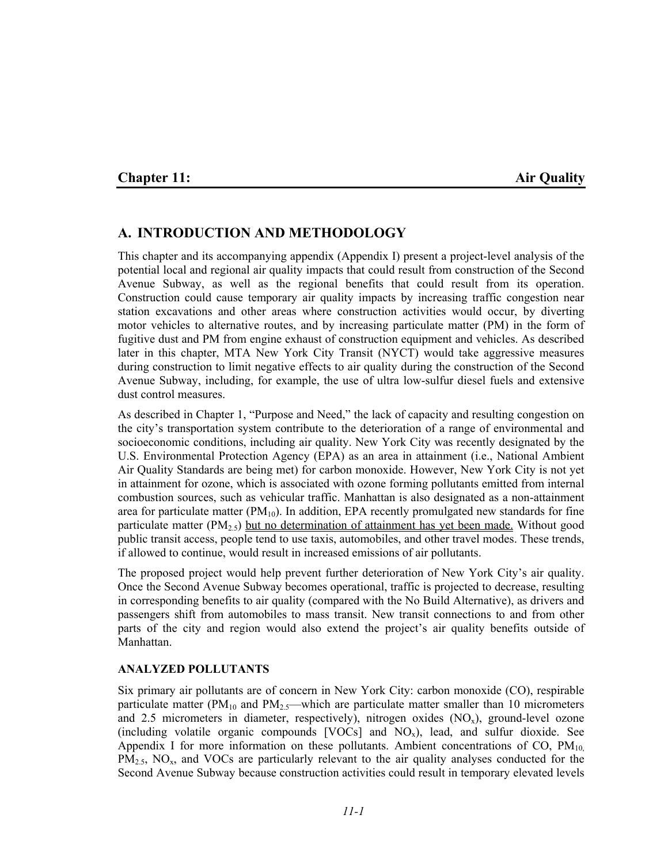#### **Chapter 11:** Air Quality **Air Quality Air Quality**

#### **A. INTRODUCTION AND METHODOLOGY**

This chapter and its accompanying appendix (Appendix I) present a project-level analysis of the potential local and regional air quality impacts that could result from construction of the Second Avenue Subway, as well as the regional benefits that could result from its operation. Construction could cause temporary air quality impacts by increasing traffic congestion near station excavations and other areas where construction activities would occur, by diverting motor vehicles to alternative routes, and by increasing particulate matter (PM) in the form of fugitive dust and PM from engine exhaust of construction equipment and vehicles. As described later in this chapter, MTA New York City Transit (NYCT) would take aggressive measures during construction to limit negative effects to air quality during the construction of the Second Avenue Subway, including, for example, the use of ultra low-sulfur diesel fuels and extensive dust control measures.

As described in Chapter 1, "Purpose and Need," the lack of capacity and resulting congestion on the city's transportation system contribute to the deterioration of a range of environmental and socioeconomic conditions, including air quality. New York City was recently designated by the U.S. Environmental Protection Agency (EPA) as an area in attainment (i.e., National Ambient Air Quality Standards are being met) for carbon monoxide. However, New York City is not yet in attainment for ozone, which is associated with ozone forming pollutants emitted from internal combustion sources, such as vehicular traffic. Manhattan is also designated as a non-attainment area for particulate matter  $(PM_{10})$ . In addition, EPA recently promulgated new standards for fine particulate matter ( $PM<sub>2.5</sub>$ ) but no determination of attainment has yet been made. Without good public transit access, people tend to use taxis, automobiles, and other travel modes. These trends, if allowed to continue, would result in increased emissions of air pollutants.

The proposed project would help prevent further deterioration of New York City's air quality. Once the Second Avenue Subway becomes operational, traffic is projected to decrease, resulting in corresponding benefits to air quality (compared with the No Build Alternative), as drivers and passengers shift from automobiles to mass transit. New transit connections to and from other parts of the city and region would also extend the project's air quality benefits outside of Manhattan.

#### **ANALYZED POLLUTANTS**

Six primary air pollutants are of concern in New York City: carbon monoxide (CO), respirable particulate matter ( $PM_{10}$  and  $PM_{2.5}$ —which are particulate matter smaller than 10 micrometers and 2.5 micrometers in diameter, respectively), nitrogen oxides  $(NO<sub>x</sub>)$ , ground-level ozone (including volatile organic compounds  $[VOCs]$  and  $NO<sub>x</sub>$ ), lead, and sulfur dioxide. See Appendix I for more information on these pollutants. Ambient concentrations of CO,  $PM_{10}$  $PM_{2.5}$ , NO<sub>x</sub>, and VOCs are particularly relevant to the air quality analyses conducted for the Second Avenue Subway because construction activities could result in temporary elevated levels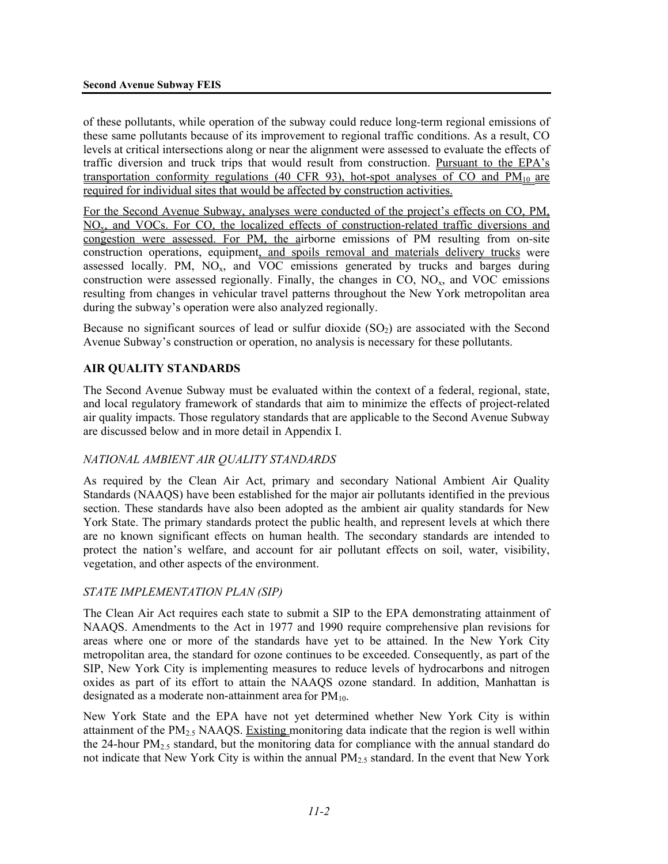of these pollutants, while operation of the subway could reduce long-term regional emissions of these same pollutants because of its improvement to regional traffic conditions. As a result, CO levels at critical intersections along or near the alignment were assessed to evaluate the effects of traffic diversion and truck trips that would result from construction. Pursuant to the EPA's transportation conformity regulations (40 CFR 93), hot-spot analyses of CO and  $PM_{10}$  are required for individual sites that would be affected by construction activities.

For the Second Avenue Subway, analyses were conducted of the project's effects on CO, PM, NOx, and VOCs. For CO, the localized effects of construction-related traffic diversions and congestion were assessed. For PM, the airborne emissions of PM resulting from on-site construction operations, equipment, and spoils removal and materials delivery trucks were assessed locally. PM,  $NO<sub>x</sub>$ , and  $VOC$  emissions generated by trucks and barges during construction were assessed regionally. Finally, the changes in  $CO$ ,  $NO<sub>x</sub>$ , and  $VOC$  emissions resulting from changes in vehicular travel patterns throughout the New York metropolitan area during the subway's operation were also analyzed regionally.

Because no significant sources of lead or sulfur dioxide  $(SO<sub>2</sub>)$  are associated with the Second Avenue Subway's construction or operation, no analysis is necessary for these pollutants.

#### **AIR QUALITY STANDARDS**

The Second Avenue Subway must be evaluated within the context of a federal, regional, state, and local regulatory framework of standards that aim to minimize the effects of project-related air quality impacts. Those regulatory standards that are applicable to the Second Avenue Subway are discussed below and in more detail in Appendix I.

#### *NATIONAL AMBIENT AIR QUALITY STANDARDS*

As required by the Clean Air Act, primary and secondary National Ambient Air Quality Standards (NAAQS) have been established for the major air pollutants identified in the previous section. These standards have also been adopted as the ambient air quality standards for New York State. The primary standards protect the public health, and represent levels at which there are no known significant effects on human health. The secondary standards are intended to protect the nation's welfare, and account for air pollutant effects on soil, water, visibility, vegetation, and other aspects of the environment.

#### *STATE IMPLEMENTATION PLAN (SIP)*

The Clean Air Act requires each state to submit a SIP to the EPA demonstrating attainment of NAAQS. Amendments to the Act in 1977 and 1990 require comprehensive plan revisions for areas where one or more of the standards have yet to be attained. In the New York City metropolitan area, the standard for ozone continues to be exceeded. Consequently, as part of the SIP, New York City is implementing measures to reduce levels of hydrocarbons and nitrogen oxides as part of its effort to attain the NAAQS ozone standard. In addition, Manhattan is designated as a moderate non-attainment area for  $PM_{10}$ .

New York State and the EPA have not yet determined whether New York City is within attainment of the  $PM<sub>2.5</sub> NAAQS.$  Existing monitoring data indicate that the region is well within the 24-hour  $PM_{2.5}$  standard, but the monitoring data for compliance with the annual standard do not indicate that New York City is within the annual  $PM<sub>2.5</sub>$  standard. In the event that New York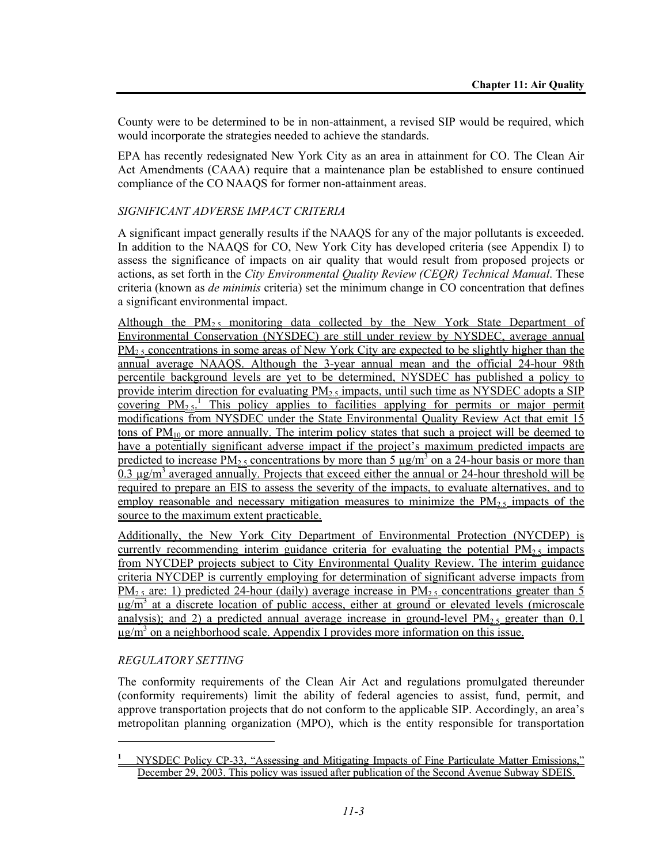County were to be determined to be in non-attainment, a revised SIP would be required, which would incorporate the strategies needed to achieve the standards.

EPA has recently redesignated New York City as an area in attainment for CO. The Clean Air Act Amendments (CAAA) require that a maintenance plan be established to ensure continued compliance of the CO NAAQS for former non-attainment areas.

#### *SIGNIFICANT ADVERSE IMPACT CRITERIA*

A significant impact generally results if the NAAQS for any of the major pollutants is exceeded. In addition to the NAAQS for CO, New York City has developed criteria (see Appendix I) to assess the significance of impacts on air quality that would result from proposed projects or actions, as set forth in the *City Environmental Quality Review (CEQR) Technical Manual*. These criteria (known as *de minimis* criteria) set the minimum change in CO concentration that defines a significant environmental impact.

Although the PM<sub>2.5</sub> monitoring data collected by the New York State Department of Environmental Conservation (NYSDEC) are still under review by NYSDEC, average annual  $PM<sub>2.5</sub> concentrations in some areas of New York City are expected to be slightly higher than the$ annual average NAAQS. Although the 3-year annual mean and the official 24-hour 98th percentile background levels are yet to be determined, NYSDEC has published a policy to provide interim direction for evaluating  $PM_2$ , impacts, until such time as NYSDEC adopts a SIP covering  $PM_{2.5}$ . This policy applies to facilities applying for permits or major permit modifications from NYSDEC under the State Environmental Quality Review Act that emit 15 tons of  $PM_{10}$  or more annually. The interim policy states that such a project will be deemed to have a potentially significant adverse impact if the project's maximum predicted impacts are predicted to increase  $PM_{2.5}$  concentrations by more than 5  $\mu$ g/m<sup>3</sup> on a 24-hour basis or more than  $0.3 \,\mu$ g/m<sup>3</sup> averaged annually. Projects that exceed either the annual or 24-hour threshold will be required to prepare an EIS to assess the severity of the impacts, to evaluate alternatives, and to employ reasonable and necessary mitigation measures to minimize the  $PM_2$ , impacts of the source to the maximum extent practicable.

Additionally, the New York City Department of Environmental Protection (NYCDEP) is currently recommending interim guidance criteria for evaluating the potential  $PM_{2.5}$  impacts from NYCDEP projects subject to City Environmental Quality Review. The interim guidance criteria NYCDEP is currently employing for determination of significant adverse impacts from  $PM_{2.5}$  are: 1) predicted 24-hour (daily) average increase in PM<sub>2.5</sub> concentrations greater than 5  $\mu$ g/m<sup>3</sup> at a discrete location of public access, either at ground or elevated levels (microscale analysis); and 2) a predicted annual average increase in ground-level  $PM_{2.5}$  greater than 0.1 µg/m3 on a neighborhood scale. Appendix I provides more information on this issue.

#### *REGULATORY SETTING*

l

The conformity requirements of the Clean Air Act and regulations promulgated thereunder (conformity requirements) limit the ability of federal agencies to assist, fund, permit, and approve transportation projects that do not conform to the applicable SIP. Accordingly, an area's metropolitan planning organization (MPO), which is the entity responsible for transportation

<sup>&</sup>lt;sup>1</sup> NYSDEC Policy CP-33, "Assessing and Mitigating Impacts of Fine Particulate Matter Emissions," December 29, 2003. This policy was issued after publication of the Second Avenue Subway SDEIS.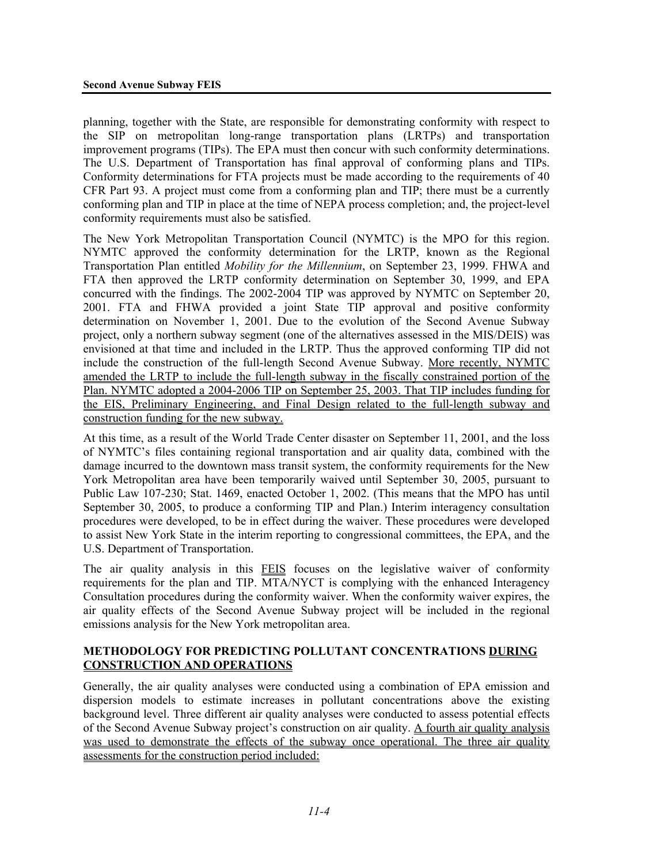planning, together with the State, are responsible for demonstrating conformity with respect to the SIP on metropolitan long-range transportation plans (LRTPs) and transportation improvement programs (TIPs). The EPA must then concur with such conformity determinations. The U.S. Department of Transportation has final approval of conforming plans and TIPs. Conformity determinations for FTA projects must be made according to the requirements of 40 CFR Part 93. A project must come from a conforming plan and TIP; there must be a currently conforming plan and TIP in place at the time of NEPA process completion; and, the project-level conformity requirements must also be satisfied.

The New York Metropolitan Transportation Council (NYMTC) is the MPO for this region. NYMTC approved the conformity determination for the LRTP, known as the Regional Transportation Plan entitled *Mobility for the Millennium*, on September 23, 1999. FHWA and FTA then approved the LRTP conformity determination on September 30, 1999, and EPA concurred with the findings. The 2002-2004 TIP was approved by NYMTC on September 20, 2001. FTA and FHWA provided a joint State TIP approval and positive conformity determination on November 1, 2001. Due to the evolution of the Second Avenue Subway project, only a northern subway segment (one of the alternatives assessed in the MIS/DEIS) was envisioned at that time and included in the LRTP. Thus the approved conforming TIP did not include the construction of the full-length Second Avenue Subway. More recently, NYMTC amended the LRTP to include the full-length subway in the fiscally constrained portion of the Plan. NYMTC adopted a 2004-2006 TIP on September 25, 2003. That TIP includes funding for the EIS, Preliminary Engineering, and Final Design related to the full-length subway and construction funding for the new subway.

At this time, as a result of the World Trade Center disaster on September 11, 2001, and the loss of NYMTC's files containing regional transportation and air quality data, combined with the damage incurred to the downtown mass transit system, the conformity requirements for the New York Metropolitan area have been temporarily waived until September 30, 2005, pursuant to Public Law 107-230; Stat. 1469, enacted October 1, 2002. (This means that the MPO has until September 30, 2005, to produce a conforming TIP and Plan.) Interim interagency consultation procedures were developed, to be in effect during the waiver. These procedures were developed to assist New York State in the interim reporting to congressional committees, the EPA, and the U.S. Department of Transportation.

The air quality analysis in this FEIS focuses on the legislative waiver of conformity requirements for the plan and TIP. MTA/NYCT is complying with the enhanced Interagency Consultation procedures during the conformity waiver. When the conformity waiver expires, the air quality effects of the Second Avenue Subway project will be included in the regional emissions analysis for the New York metropolitan area.

#### **METHODOLOGY FOR PREDICTING POLLUTANT CONCENTRATIONS DURING CONSTRUCTION AND OPERATIONS**

Generally, the air quality analyses were conducted using a combination of EPA emission and dispersion models to estimate increases in pollutant concentrations above the existing background level. Three different air quality analyses were conducted to assess potential effects of the Second Avenue Subway project's construction on air quality. A fourth air quality analysis was used to demonstrate the effects of the subway once operational. The three air quality assessments for the construction period included: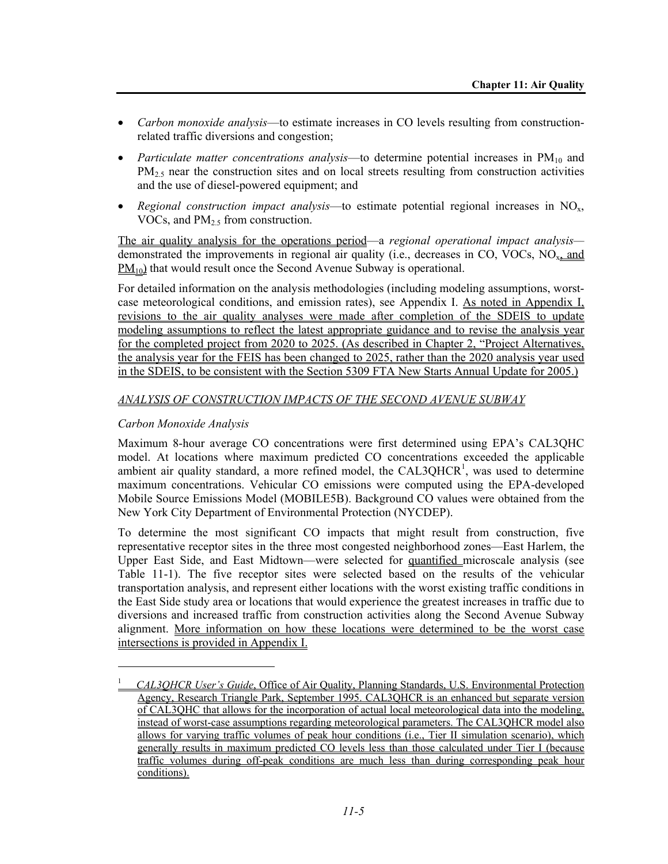- *Carbon monoxide analysis*—to estimate increases in CO levels resulting from constructionrelated traffic diversions and congestion;
- *Particulate matter concentrations analysis*—to determine potential increases in PM<sub>10</sub> and  $PM_{2.5}$  near the construction sites and on local streets resulting from construction activities and the use of diesel-powered equipment; and
- *Regional construction impact analysis*—to estimate potential regional increases in NO<sub>x</sub>, VOCs, and  $PM<sub>2.5</sub>$  from construction.

The air quality analysis for the operations period—a *regional operational impact analysis* demonstrated the improvements in regional air quality (i.e., decreases in CO, VOCs,  $NO<sub>x</sub>$ , and  $PM_{10}$ ) that would result once the Second Avenue Subway is operational.

For detailed information on the analysis methodologies (including modeling assumptions, worstcase meteorological conditions, and emission rates), see Appendix I. As noted in Appendix I, revisions to the air quality analyses were made after completion of the SDEIS to update modeling assumptions to reflect the latest appropriate guidance and to revise the analysis year for the completed project from 2020 to 2025. (As described in Chapter 2, "Project Alternatives, the analysis year for the FEIS has been changed to 2025, rather than the 2020 analysis year used in the SDEIS, to be consistent with the Section 5309 FTA New Starts Annual Update for 2005.)

#### *ANALYSIS OF CONSTRUCTION IMPACTS OF THE SECOND AVENUE SUBWAY*

#### *Carbon Monoxide Analysis*

1

Maximum 8-hour average CO concentrations were first determined using EPA's CAL3QHC model. At locations where maximum predicted CO concentrations exceeded the applicable ambient air quality standard, a more refined model, the CAL3QHCR<sup>1</sup>, was used to determine maximum concentrations. Vehicular CO emissions were computed using the EPA-developed Mobile Source Emissions Model (MOBILE5B). Background CO values were obtained from the New York City Department of Environmental Protection (NYCDEP).

To determine the most significant CO impacts that might result from construction, five representative receptor sites in the three most congested neighborhood zones—East Harlem, the Upper East Side, and East Midtown—were selected for quantified microscale analysis (see Table 11-1). The five receptor sites were selected based on the results of the vehicular transportation analysis, and represent either locations with the worst existing traffic conditions in the East Side study area or locations that would experience the greatest increases in traffic due to diversions and increased traffic from construction activities along the Second Avenue Subway alignment. More information on how these locations were determined to be the worst case intersections is provided in Appendix I.

<sup>&</sup>lt;sup>1</sup> CAL3QHCR User's Guide, Office of Air Quality, Planning Standards, U.S. Environmental Protection Agency, Research Triangle Park, September 1995. CAL3QHCR is an enhanced but separate version of CAL3QHC that allows for the incorporation of actual local meteorological data into the modeling, instead of worst-case assumptions regarding meteorological parameters. The CAL3QHCR model also allows for varying traffic volumes of peak hour conditions (i.e., Tier II simulation scenario), which generally results in maximum predicted CO levels less than those calculated under Tier I (because traffic volumes during off-peak conditions are much less than during corresponding peak hour conditions).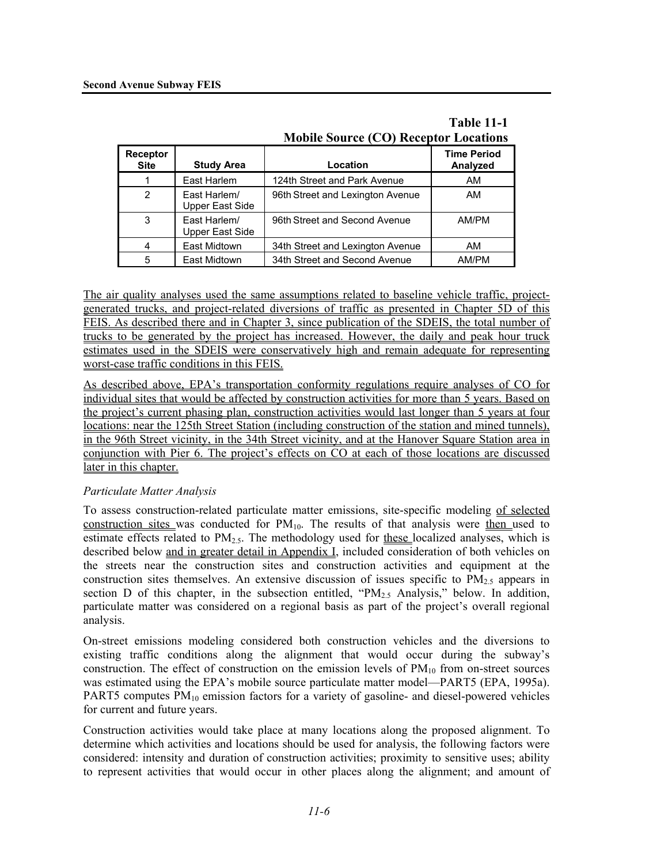| Receptor<br><b>Site</b> | <b>Study Area</b>                      | Location                         | <b>Time Period</b><br>Analyzed |
|-------------------------|----------------------------------------|----------------------------------|--------------------------------|
|                         | East Harlem                            | 124th Street and Park Avenue     | AM                             |
| 2                       | East Harlem/<br><b>Upper East Side</b> | 96th Street and Lexington Avenue | AM                             |
| 3                       | East Harlem/<br><b>Upper East Side</b> | 96th Street and Second Avenue    | AM/PM                          |
|                         | East Midtown                           | 34th Street and Lexington Avenue | AM                             |
| 5                       | East Midtown                           | 34th Street and Second Avenue    | AM/PM                          |

#### **Table 11-1 Mobile Source (CO) Receptor Locations**

The air quality analyses used the same assumptions related to baseline vehicle traffic, projectgenerated trucks, and project-related diversions of traffic as presented in Chapter 5D of this FEIS. As described there and in Chapter 3, since publication of the SDEIS, the total number of trucks to be generated by the project has increased. However, the daily and peak hour truck estimates used in the SDEIS were conservatively high and remain adequate for representing worst-case traffic conditions in this FEIS.

As described above, EPA's transportation conformity regulations require analyses of CO for individual sites that would be affected by construction activities for more than 5 years. Based on the project's current phasing plan, construction activities would last longer than 5 years at four locations: near the 125th Street Station (including construction of the station and mined tunnels), in the 96th Street vicinity, in the 34th Street vicinity, and at the Hanover Square Station area in conjunction with Pier 6. The project's effects on CO at each of those locations are discussed later in this chapter.

#### *Particulate Matter Analysis*

To assess construction-related particulate matter emissions, site-specific modeling of selected construction sites was conducted for  $PM_{10}$ . The results of that analysis were then used to estimate effects related to  $PM<sub>2.5</sub>$ . The methodology used for these localized analyses, which is described below and in greater detail in Appendix I, included consideration of both vehicles on the streets near the construction sites and construction activities and equipment at the construction sites themselves. An extensive discussion of issues specific to  $PM_{2.5}$  appears in section D of this chapter, in the subsection entitled, " $PM_{2.5}$  Analysis," below. In addition, particulate matter was considered on a regional basis as part of the project's overall regional analysis.

On-street emissions modeling considered both construction vehicles and the diversions to existing traffic conditions along the alignment that would occur during the subway's construction. The effect of construction on the emission levels of  $PM_{10}$  from on-street sources was estimated using the EPA's mobile source particulate matter model—PART5 (EPA, 1995a). PART5 computes PM<sub>10</sub> emission factors for a variety of gasoline- and diesel-powered vehicles for current and future years.

Construction activities would take place at many locations along the proposed alignment. To determine which activities and locations should be used for analysis, the following factors were considered: intensity and duration of construction activities; proximity to sensitive uses; ability to represent activities that would occur in other places along the alignment; and amount of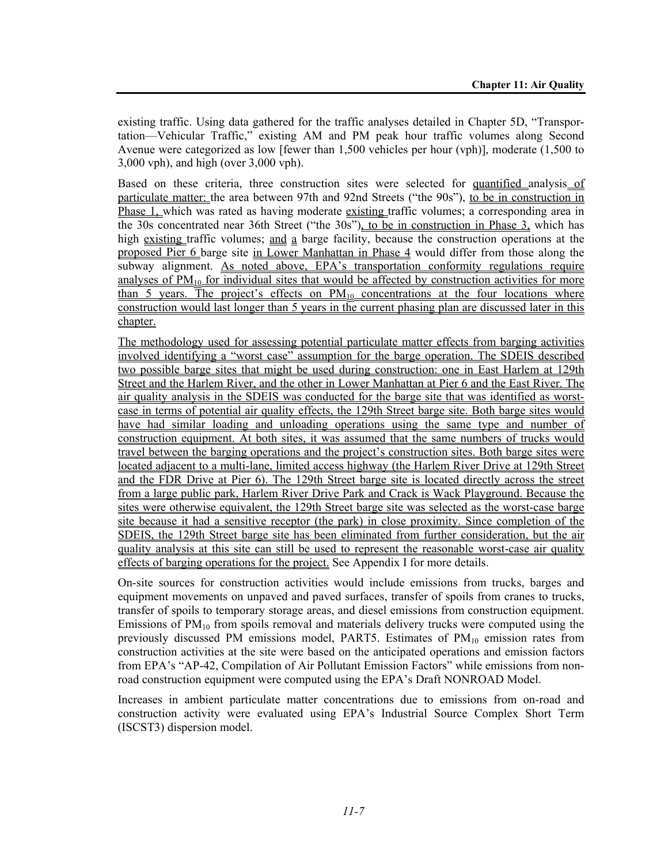existing traffic. Using data gathered for the traffic analyses detailed in Chapter 5D, "Transportation—Vehicular Traffic," existing AM and PM peak hour traffic volumes along Second Avenue were categorized as low [fewer than 1,500 vehicles per hour (vph)], moderate (1,500 to 3,000 vph), and high (over 3,000 vph).

Based on these criteria, three construction sites were selected for quantified analysis of particulate matter: the area between 97th and 92nd Streets ("the 90s"), to be in construction in Phase 1, which was rated as having moderate existing traffic volumes; a corresponding area in the 30s concentrated near 36th Street ("the 30s"), to be in construction in Phase 3, which has high existing traffic volumes; and a barge facility, because the construction operations at the proposed Pier 6 barge site in Lower Manhattan in Phase 4 would differ from those along the subway alignment. As noted above, EPA's transportation conformity regulations require analyses of  $PM_{10}$  for individual sites that would be affected by construction activities for more than 5 years. The project's effects on  $PM_{10}$  concentrations at the four locations where construction would last longer than 5 years in the current phasing plan are discussed later in this chapter.

The methodology used for assessing potential particulate matter effects from barging activities involved identifying a "worst case" assumption for the barge operation. The SDEIS described two possible barge sites that might be used during construction: one in East Harlem at 129th Street and the Harlem River, and the other in Lower Manhattan at Pier 6 and the East River. The air quality analysis in the SDEIS was conducted for the barge site that was identified as worstcase in terms of potential air quality effects, the 129th Street barge site. Both barge sites would have had similar loading and unloading operations using the same type and number of construction equipment. At both sites, it was assumed that the same numbers of trucks would travel between the barging operations and the project's construction sites. Both barge sites were located adjacent to a multi-lane, limited access highway (the Harlem River Drive at 129th Street and the FDR Drive at Pier 6). The 129th Street barge site is located directly across the street from a large public park, Harlem River Drive Park and Crack is Wack Playground. Because the sites were otherwise equivalent, the 129th Street barge site was selected as the worst-case barge site because it had a sensitive receptor (the park) in close proximity. Since completion of the SDEIS, the 129th Street barge site has been eliminated from further consideration, but the air quality analysis at this site can still be used to represent the reasonable worst-case air quality effects of barging operations for the project. See Appendix I for more details.

On-site sources for construction activities would include emissions from trucks, barges and equipment movements on unpaved and paved surfaces, transfer of spoils from cranes to trucks, transfer of spoils to temporary storage areas, and diesel emissions from construction equipment. Emissions of  $PM_{10}$  from spoils removal and materials delivery trucks were computed using the previously discussed PM emissions model, PART5. Estimates of  $PM_{10}$  emission rates from construction activities at the site were based on the anticipated operations and emission factors from EPA's "AP-42, Compilation of Air Pollutant Emission Factors" while emissions from nonroad construction equipment were computed using the EPA's Draft NONROAD Model.

Increases in ambient particulate matter concentrations due to emissions from on-road and construction activity were evaluated using EPA's Industrial Source Complex Short Term (ISCST3) dispersion model.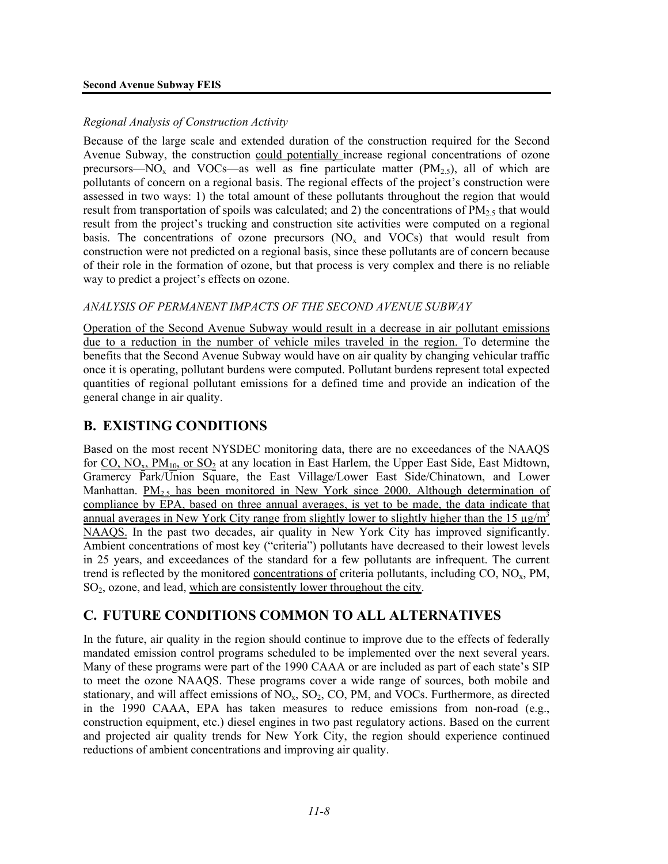#### *Regional Analysis of Construction Activity*

Because of the large scale and extended duration of the construction required for the Second Avenue Subway, the construction could potentially increase regional concentrations of ozone precursors—NO<sub>x</sub> and VOCs—as well as fine particulate matter  $(PM<sub>2.5</sub>)$ , all of which are pollutants of concern on a regional basis. The regional effects of the project's construction were assessed in two ways: 1) the total amount of these pollutants throughout the region that would result from transportation of spoils was calculated; and 2) the concentrations of  $PM_{2.5}$  that would result from the project's trucking and construction site activities were computed on a regional basis. The concentrations of ozone precursors  $(NO<sub>x</sub>$  and  $VOCs)$  that would result from construction were not predicted on a regional basis, since these pollutants are of concern because of their role in the formation of ozone, but that process is very complex and there is no reliable way to predict a project's effects on ozone.

#### *ANALYSIS OF PERMANENT IMPACTS OF THE SECOND AVENUE SUBWAY*

Operation of the Second Avenue Subway would result in a decrease in air pollutant emissions due to a reduction in the number of vehicle miles traveled in the region. To determine the benefits that the Second Avenue Subway would have on air quality by changing vehicular traffic once it is operating, pollutant burdens were computed. Pollutant burdens represent total expected quantities of regional pollutant emissions for a defined time and provide an indication of the general change in air quality.

# **B. EXISTING CONDITIONS**

Based on the most recent NYSDEC monitoring data, there are no exceedances of the NAAQS for CO,  $NO_x$ ,  $PM_{10}$ , or  $SO_2$  at any location in East Harlem, the Upper East Side, East Midtown, Gramercy Park/Union Square, the East Village/Lower East Side/Chinatown, and Lower Manhattan.  $PM_2$ <sub>5</sub> has been monitored in New York since 2000. Although determination of compliance by  $\overline{EPA}$ , based on three annual averages, is yet to be made, the data indicate that annual averages in New York City range from slightly lower to slightly higher than the 15  $\mu$ g/m<sup>3</sup> NAAQS. In the past two decades, air quality in New York City has improved significantly. Ambient concentrations of most key ("criteria") pollutants have decreased to their lowest levels in 25 years, and exceedances of the standard for a few pollutants are infrequent. The current trend is reflected by the monitored concentrations of criteria pollutants, including CO, NOx, PM, SO2, ozone, and lead, which are consistently lower throughout the city.

# **C. FUTURE CONDITIONS COMMON TO ALL ALTERNATIVES**

In the future, air quality in the region should continue to improve due to the effects of federally mandated emission control programs scheduled to be implemented over the next several years. Many of these programs were part of the 1990 CAAA or are included as part of each state's SIP to meet the ozone NAAQS. These programs cover a wide range of sources, both mobile and stationary, and will affect emissions of  $NO<sub>x</sub>$ ,  $SO<sub>2</sub>$ ,  $CO$ ,  $PM$ , and VOCs. Furthermore, as directed in the 1990 CAAA, EPA has taken measures to reduce emissions from non-road (e.g., construction equipment, etc.) diesel engines in two past regulatory actions. Based on the current and projected air quality trends for New York City, the region should experience continued reductions of ambient concentrations and improving air quality.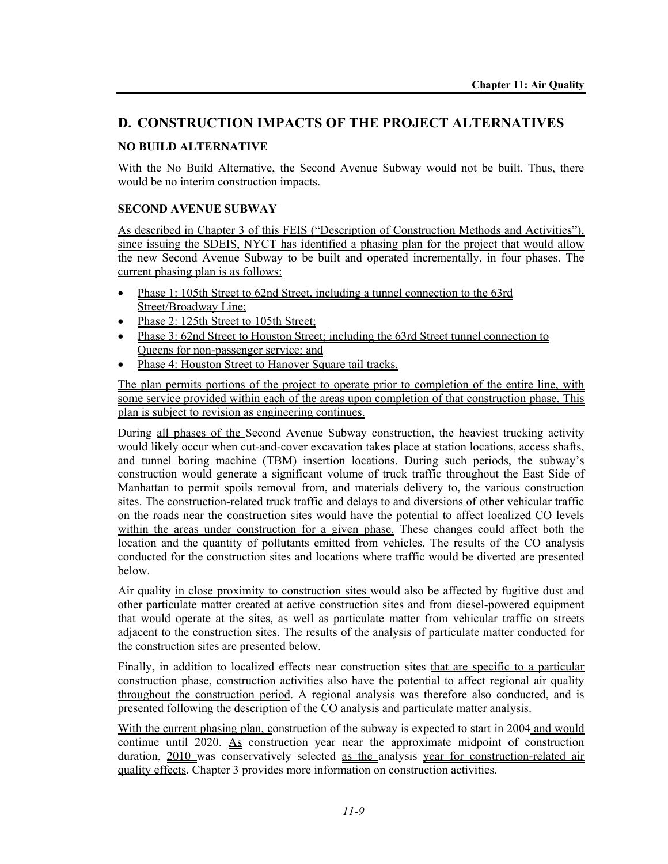# **D. CONSTRUCTION IMPACTS OF THE PROJECT ALTERNATIVES**

# **NO BUILD ALTERNATIVE**

With the No Build Alternative, the Second Avenue Subway would not be built. Thus, there would be no interim construction impacts.

#### **SECOND AVENUE SUBWAY**

As described in Chapter 3 of this FEIS ("Description of Construction Methods and Activities"), since issuing the SDEIS, NYCT has identified a phasing plan for the project that would allow the new Second Avenue Subway to be built and operated incrementally, in four phases. The current phasing plan is as follows:

- Phase 1: 105th Street to 62nd Street, including a tunnel connection to the 63rd Street/Broadway Line;
- Phase 2: 125th Street to 105th Street;
- Phase 3: 62nd Street to Houston Street; including the 63rd Street tunnel connection to Queens for non-passenger service; and
- Phase 4: Houston Street to Hanover Square tail tracks.

The plan permits portions of the project to operate prior to completion of the entire line, with some service provided within each of the areas upon completion of that construction phase. This plan is subject to revision as engineering continues.

During all phases of the Second Avenue Subway construction, the heaviest trucking activity would likely occur when cut-and-cover excavation takes place at station locations, access shafts, and tunnel boring machine (TBM) insertion locations. During such periods, the subway's construction would generate a significant volume of truck traffic throughout the East Side of Manhattan to permit spoils removal from, and materials delivery to, the various construction sites. The construction-related truck traffic and delays to and diversions of other vehicular traffic on the roads near the construction sites would have the potential to affect localized CO levels within the areas under construction for a given phase. These changes could affect both the location and the quantity of pollutants emitted from vehicles. The results of the CO analysis conducted for the construction sites and locations where traffic would be diverted are presented below.

Air quality in close proximity to construction sites would also be affected by fugitive dust and other particulate matter created at active construction sites and from diesel-powered equipment that would operate at the sites, as well as particulate matter from vehicular traffic on streets adjacent to the construction sites. The results of the analysis of particulate matter conducted for the construction sites are presented below.

Finally, in addition to localized effects near construction sites that are specific to a particular construction phase, construction activities also have the potential to affect regional air quality throughout the construction period. A regional analysis was therefore also conducted, and is presented following the description of the CO analysis and particulate matter analysis.

With the current phasing plan, construction of the subway is expected to start in 2004 and would continue until 2020. As construction year near the approximate midpoint of construction duration, 2010 was conservatively selected as the analysis year for construction-related air quality effects. Chapter 3 provides more information on construction activities.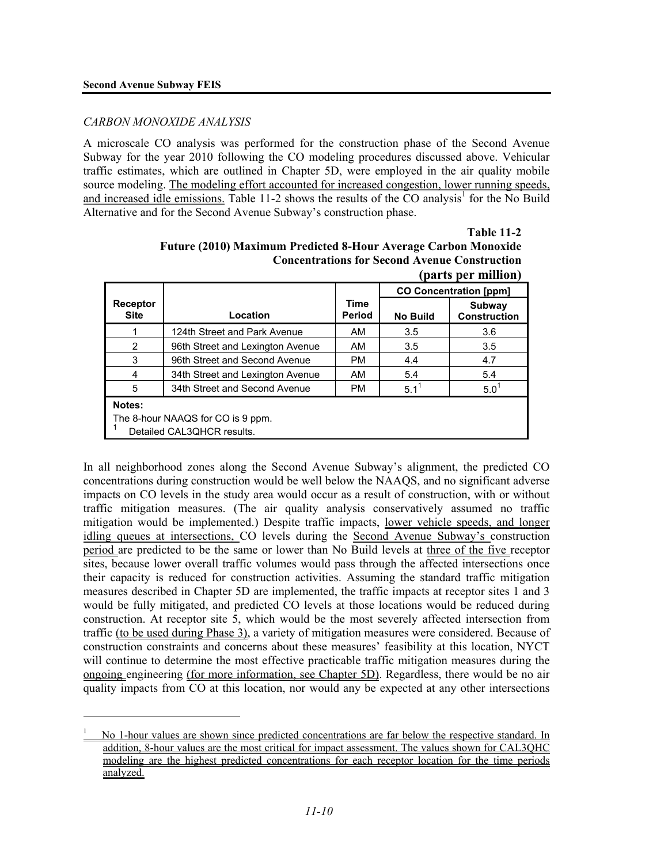<u>.</u>

#### *CARBON MONOXIDE ANALYSIS*

A microscale CO analysis was performed for the construction phase of the Second Avenue Subway for the year 2010 following the CO modeling procedures discussed above. Vehicular traffic estimates, which are outlined in Chapter 5D, were employed in the air quality mobile source modeling. The modeling effort accounted for increased congestion, lower running speeds, and increased idle emissions. Table 11-2 shows the results of the CO analysis<sup>1</sup> for the No Build Alternative and for the Second Avenue Subway's construction phase.

|                         | (parts per million)                                             |                              |                 |                               |  |  |  |  |  |
|-------------------------|-----------------------------------------------------------------|------------------------------|-----------------|-------------------------------|--|--|--|--|--|
|                         |                                                                 |                              |                 | <b>CO Concentration [ppm]</b> |  |  |  |  |  |
| Receptor<br><b>Site</b> | Location                                                        | <b>Time</b><br><b>Period</b> | <b>No Build</b> | Subway<br><b>Construction</b> |  |  |  |  |  |
|                         | 124th Street and Park Avenue                                    | AM                           | 3.5             | 3.6                           |  |  |  |  |  |
| 2                       | 96th Street and Lexington Avenue                                | AM                           | 3.5             | 3.5                           |  |  |  |  |  |
| 3                       | 96th Street and Second Avenue                                   | <b>PM</b>                    | 4.4             | 4.7                           |  |  |  |  |  |
| 4                       | 34th Street and Lexington Avenue                                | AM                           | 5.4             | 5.4                           |  |  |  |  |  |
| 5                       | 34th Street and Second Avenue                                   | <b>PM</b>                    | 5.1             | 5.0                           |  |  |  |  |  |
| Notes:                  |                                                                 |                              |                 |                               |  |  |  |  |  |
|                         | The 8-hour NAAQS for CO is 9 ppm.<br>Detailed CAL3QHCR results. |                              |                 |                               |  |  |  |  |  |

| <b>Table 11-2</b>                                              |
|----------------------------------------------------------------|
| Future (2010) Maximum Predicted 8-Hour Average Carbon Monoxide |
| <b>Concentrations for Second Avenue Construction</b>           |
| $\mathcal{L}$ and $\mathcal{L}$ and $\mathcal{L}$              |

In all neighborhood zones along the Second Avenue Subway's alignment, the predicted CO concentrations during construction would be well below the NAAQS, and no significant adverse impacts on CO levels in the study area would occur as a result of construction, with or without traffic mitigation measures. (The air quality analysis conservatively assumed no traffic mitigation would be implemented.) Despite traffic impacts, lower vehicle speeds, and longer idling queues at intersections, CO levels during the Second Avenue Subway's construction period are predicted to be the same or lower than No Build levels at three of the five receptor sites, because lower overall traffic volumes would pass through the affected intersections once their capacity is reduced for construction activities. Assuming the standard traffic mitigation measures described in Chapter 5D are implemented, the traffic impacts at receptor sites 1 and 3 would be fully mitigated, and predicted CO levels at those locations would be reduced during construction. At receptor site 5, which would be the most severely affected intersection from traffic (to be used during Phase 3), a variety of mitigation measures were considered. Because of construction constraints and concerns about these measures' feasibility at this location, NYCT will continue to determine the most effective practicable traffic mitigation measures during the ongoing engineering (for more information, see Chapter 5D). Regardless, there would be no air quality impacts from CO at this location, nor would any be expected at any other intersections

<sup>1</sup> No 1-hour values are shown since predicted concentrations are far below the respective standard. In addition, 8-hour values are the most critical for impact assessment. The values shown for CAL3QHC modeling are the highest predicted concentrations for each receptor location for the time periods analyzed.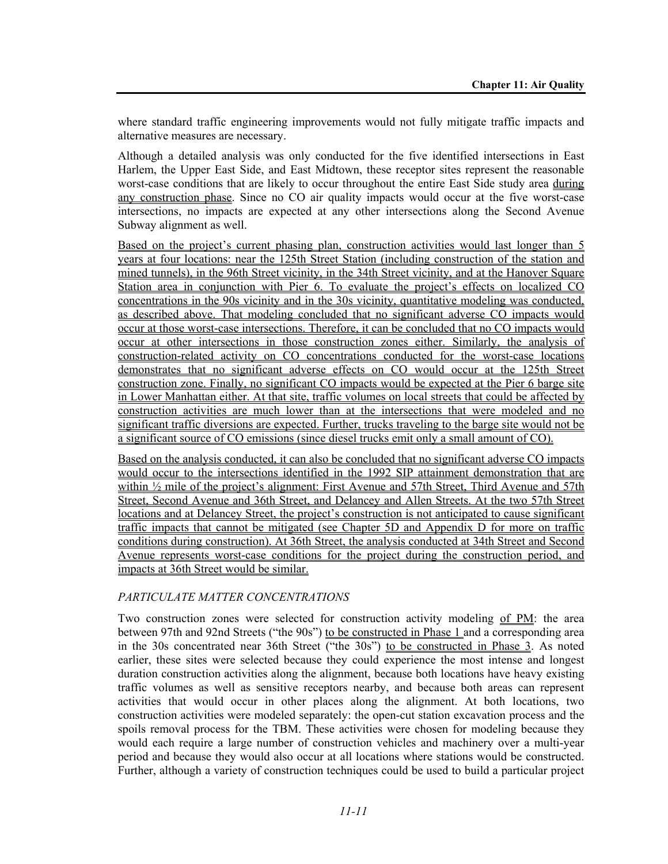where standard traffic engineering improvements would not fully mitigate traffic impacts and alternative measures are necessary.

Although a detailed analysis was only conducted for the five identified intersections in East Harlem, the Upper East Side, and East Midtown, these receptor sites represent the reasonable worst-case conditions that are likely to occur throughout the entire East Side study area during any construction phase. Since no CO air quality impacts would occur at the five worst-case intersections, no impacts are expected at any other intersections along the Second Avenue Subway alignment as well.

Based on the project's current phasing plan, construction activities would last longer than 5 years at four locations: near the 125th Street Station (including construction of the station and mined tunnels), in the 96th Street vicinity, in the 34th Street vicinity, and at the Hanover Square Station area in conjunction with Pier 6. To evaluate the project's effects on localized CO concentrations in the 90s vicinity and in the 30s vicinity, quantitative modeling was conducted, as described above. That modeling concluded that no significant adverse CO impacts would occur at those worst-case intersections. Therefore, it can be concluded that no CO impacts would occur at other intersections in those construction zones either. Similarly, the analysis of construction-related activity on CO concentrations conducted for the worst-case locations demonstrates that no significant adverse effects on CO would occur at the 125th Street construction zone. Finally, no significant CO impacts would be expected at the Pier 6 barge site in Lower Manhattan either. At that site, traffic volumes on local streets that could be affected by construction activities are much lower than at the intersections that were modeled and no significant traffic diversions are expected. Further, trucks traveling to the barge site would not be a significant source of CO emissions (since diesel trucks emit only a small amount of CO).

Based on the analysis conducted, it can also be concluded that no significant adverse CO impacts would occur to the intersections identified in the 1992 SIP attainment demonstration that are within  $\frac{1}{2}$  mile of the project's alignment: First Avenue and 57th Street, Third Avenue and 57th Street, Second Avenue and 36th Street, and Delancey and Allen Streets. At the two 57th Street locations and at Delancey Street, the project's construction is not anticipated to cause significant traffic impacts that cannot be mitigated (see Chapter 5D and Appendix D for more on traffic conditions during construction). At 36th Street, the analysis conducted at 34th Street and Second Avenue represents worst-case conditions for the project during the construction period, and impacts at 36th Street would be similar.

# *PARTICULATE MATTER CONCENTRATIONS*

Two construction zones were selected for construction activity modeling of PM: the area between 97th and 92nd Streets ("the 90s") to be constructed in Phase 1 and a corresponding area in the 30s concentrated near 36th Street ("the 30s") to be constructed in Phase 3. As noted earlier, these sites were selected because they could experience the most intense and longest duration construction activities along the alignment, because both locations have heavy existing traffic volumes as well as sensitive receptors nearby, and because both areas can represent activities that would occur in other places along the alignment. At both locations, two construction activities were modeled separately: the open-cut station excavation process and the spoils removal process for the TBM. These activities were chosen for modeling because they would each require a large number of construction vehicles and machinery over a multi-year period and because they would also occur at all locations where stations would be constructed. Further, although a variety of construction techniques could be used to build a particular project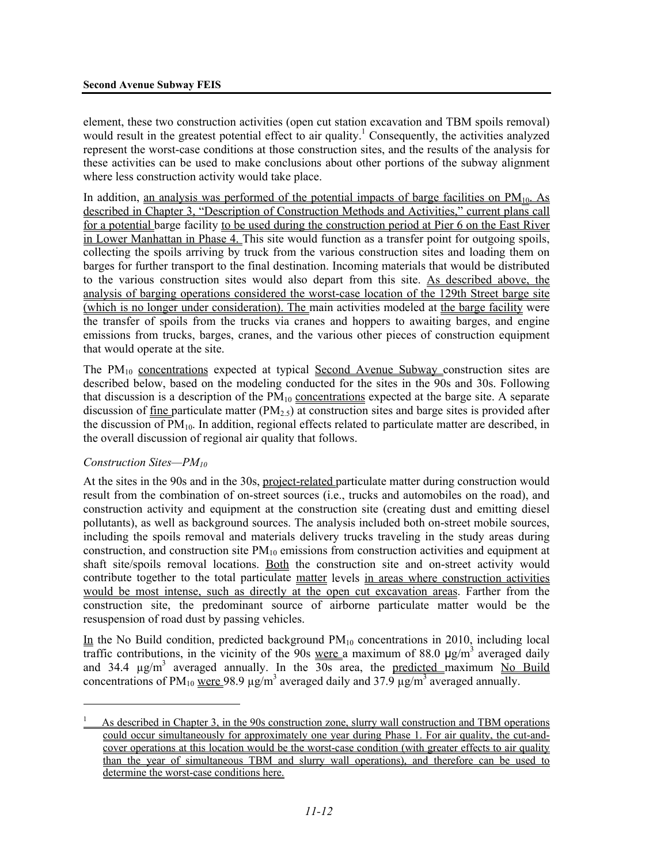element, these two construction activities (open cut station excavation and TBM spoils removal) would result in the greatest potential effect to air quality.<sup>1</sup> Consequently, the activities analyzed represent the worst-case conditions at those construction sites, and the results of the analysis for these activities can be used to make conclusions about other portions of the subway alignment where less construction activity would take place.

In addition, an analysis was performed of the potential impacts of barge facilities on  $PM_{10}$ . As described in Chapter 3, "Description of Construction Methods and Activities," current plans call for a potential barge facility to be used during the construction period at Pier 6 on the East River in Lower Manhattan in Phase 4. This site would function as a transfer point for outgoing spoils, collecting the spoils arriving by truck from the various construction sites and loading them on barges for further transport to the final destination. Incoming materials that would be distributed to the various construction sites would also depart from this site. As described above, the analysis of barging operations considered the worst-case location of the 129th Street barge site (which is no longer under consideration). The main activities modeled at the barge facility were the transfer of spoils from the trucks via cranes and hoppers to awaiting barges, and engine emissions from trucks, barges, cranes, and the various other pieces of construction equipment that would operate at the site.

The PM<sub>10</sub> concentrations expected at typical Second Avenue Subway construction sites are described below, based on the modeling conducted for the sites in the 90s and 30s. Following that discussion is a description of the  $PM_{10}$  concentrations expected at the barge site. A separate discussion of fine particulate matter (PM<sub>2.5</sub>) at construction sites and barge sites is provided after the discussion of PM<sub>10</sub>. In addition, regional effects related to particulate matter are described, in the overall discussion of regional air quality that follows.

#### *Construction Sites—PM10*

<u>.</u>

At the sites in the 90s and in the 30s, project-related particulate matter during construction would result from the combination of on-street sources (i.e., trucks and automobiles on the road), and construction activity and equipment at the construction site (creating dust and emitting diesel pollutants), as well as background sources. The analysis included both on-street mobile sources, including the spoils removal and materials delivery trucks traveling in the study areas during construction, and construction site  $PM_{10}$  emissions from construction activities and equipment at shaft site/spoils removal locations. Both the construction site and on-street activity would contribute together to the total particulate matter levels in areas where construction activities would be most intense, such as directly at the open cut excavation areas. Farther from the construction site, the predominant source of airborne particulate matter would be the resuspension of road dust by passing vehicles.

In the No Build condition, predicted background  $PM_{10}$  concentrations in 2010, including local traffic contributions, in the vicinity of the 90s were a maximum of 88.0  $\mu$ g/m<sup>3</sup> averaged daily and 34.4  $\mu$ g/m<sup>3</sup> averaged annually. In the  $\overline{30s}$  area, the predicted maximum No Build concentrations of PM<sub>10</sub> were 98.9  $\mu$ g/m<sup>3</sup> averaged daily and 37.9  $\mu$ g/m<sup>3</sup> averaged annually.

<sup>1</sup> As described in Chapter 3, in the 90s construction zone, slurry wall construction and TBM operations could occur simultaneously for approximately one year during Phase 1. For air quality, the cut-andcover operations at this location would be the worst-case condition (with greater effects to air quality than the year of simultaneous TBM and slurry wall operations), and therefore can be used to determine the worst-case conditions here.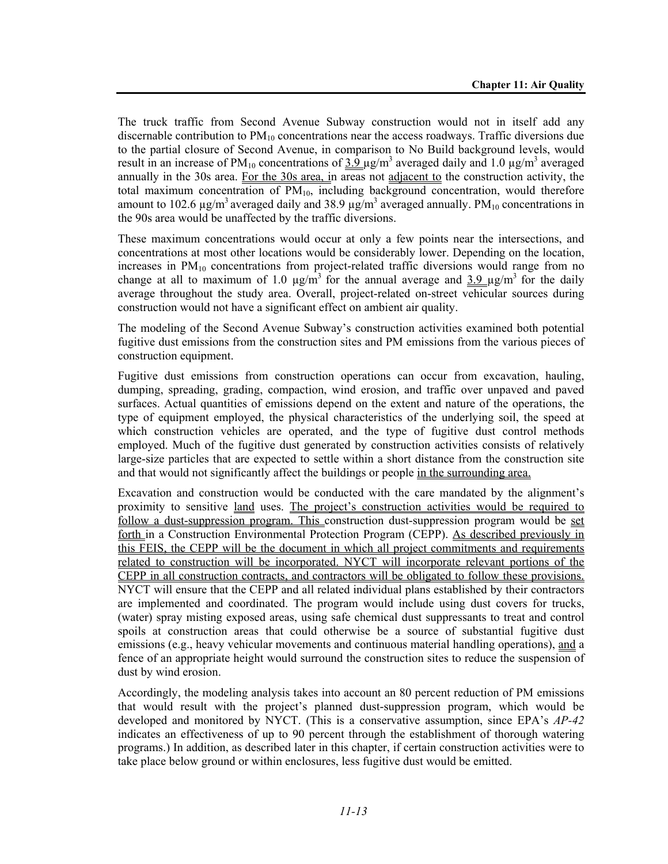The truck traffic from Second Avenue Subway construction would not in itself add any discernable contribution to  $PM_{10}$  concentrations near the access roadways. Traffic diversions due to the partial closure of Second Avenue, in comparison to No Build background levels, would result in an increase of PM<sub>10</sub> concentrations of  $3.9 \text{ }\mu\text{g/m}^3$  averaged daily and 1.0  $\mu\text{g/m}^3$  averaged annually in the 30s area. For the 30s area, in areas not adjacent to the construction activity, the total maximum concentration of  $PM_{10}$ , including background concentration, would therefore amount to 102.6  $\mu$ g/m<sup>3</sup> averaged daily and 38.9  $\mu$ g/m<sup>3</sup> averaged annually. PM<sub>10</sub> concentrations in the 90s area would be unaffected by the traffic diversions.

These maximum concentrations would occur at only a few points near the intersections, and concentrations at most other locations would be considerably lower. Depending on the location, increases in  $PM_{10}$  concentrations from project-related traffic diversions would range from no change at all to maximum of 1.0  $\mu$ g/m<sup>3</sup> for the annual average and  $3.9 \mu$ g/m<sup>3</sup> for the daily average throughout the study area. Overall, project-related on-street vehicular sources during construction would not have a significant effect on ambient air quality.

The modeling of the Second Avenue Subway's construction activities examined both potential fugitive dust emissions from the construction sites and PM emissions from the various pieces of construction equipment.

Fugitive dust emissions from construction operations can occur from excavation, hauling, dumping, spreading, grading, compaction, wind erosion, and traffic over unpaved and paved surfaces. Actual quantities of emissions depend on the extent and nature of the operations, the type of equipment employed, the physical characteristics of the underlying soil, the speed at which construction vehicles are operated, and the type of fugitive dust control methods employed. Much of the fugitive dust generated by construction activities consists of relatively large-size particles that are expected to settle within a short distance from the construction site and that would not significantly affect the buildings or people in the surrounding area.

Excavation and construction would be conducted with the care mandated by the alignment's proximity to sensitive land uses. The project's construction activities would be required to follow a dust-suppression program. This construction dust-suppression program would be set forth in a Construction Environmental Protection Program (CEPP). As described previously in this FEIS, the CEPP will be the document in which all project commitments and requirements related to construction will be incorporated. NYCT will incorporate relevant portions of the CEPP in all construction contracts, and contractors will be obligated to follow these provisions. NYCT will ensure that the CEPP and all related individual plans established by their contractors are implemented and coordinated. The program would include using dust covers for trucks, (water) spray misting exposed areas, using safe chemical dust suppressants to treat and control spoils at construction areas that could otherwise be a source of substantial fugitive dust emissions (e.g., heavy vehicular movements and continuous material handling operations), and a fence of an appropriate height would surround the construction sites to reduce the suspension of dust by wind erosion.

Accordingly, the modeling analysis takes into account an 80 percent reduction of PM emissions that would result with the project's planned dust-suppression program, which would be developed and monitored by NYCT. (This is a conservative assumption, since EPA's *AP-42* indicates an effectiveness of up to 90 percent through the establishment of thorough watering programs.) In addition, as described later in this chapter, if certain construction activities were to take place below ground or within enclosures, less fugitive dust would be emitted.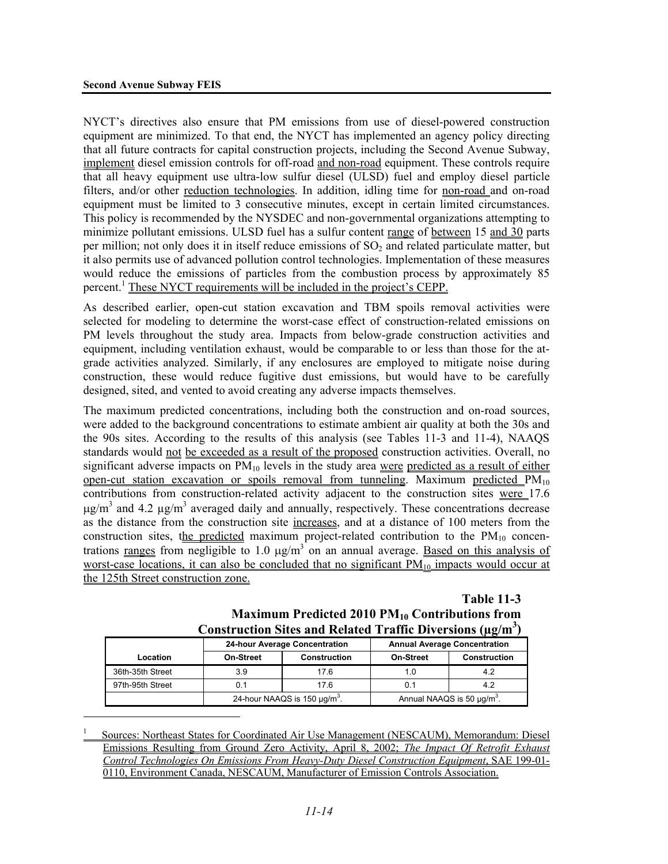<u>.</u>

NYCT's directives also ensure that PM emissions from use of diesel-powered construction equipment are minimized. To that end, the NYCT has implemented an agency policy directing that all future contracts for capital construction projects, including the Second Avenue Subway, implement diesel emission controls for off-road and non-road equipment. These controls require that all heavy equipment use ultra-low sulfur diesel (ULSD) fuel and employ diesel particle filters, and/or other reduction technologies. In addition, idling time for non-road and on-road equipment must be limited to 3 consecutive minutes, except in certain limited circumstances. This policy is recommended by the NYSDEC and non-governmental organizations attempting to minimize pollutant emissions. ULSD fuel has a sulfur content range of between 15 and 30 parts per million; not only does it in itself reduce emissions of  $SO<sub>2</sub>$  and related particulate matter, but it also permits use of advanced pollution control technologies. Implementation of these measures would reduce the emissions of particles from the combustion process by approximately 85 percent.<sup>1</sup> These NYCT requirements will be included in the project's CEPP.

As described earlier, open-cut station excavation and TBM spoils removal activities were selected for modeling to determine the worst-case effect of construction-related emissions on PM levels throughout the study area. Impacts from below-grade construction activities and equipment, including ventilation exhaust, would be comparable to or less than those for the atgrade activities analyzed. Similarly, if any enclosures are employed to mitigate noise during construction, these would reduce fugitive dust emissions, but would have to be carefully designed, sited, and vented to avoid creating any adverse impacts themselves.

The maximum predicted concentrations, including both the construction and on-road sources, were added to the background concentrations to estimate ambient air quality at both the 30s and the 90s sites. According to the results of this analysis (see Tables 11-3 and 11-4), NAAQS standards would not be exceeded as a result of the proposed construction activities. Overall, no significant adverse impacts on  $PM_{10}$  levels in the study area were predicted as a result of either open-cut station excavation or spoils removal from tunneling. Maximum predicted  $PM_{10}$ contributions from construction-related activity adjacent to the construction sites were 17.6  $\mu$ g/m<sup>3</sup> and 4.2  $\mu$ g/m<sup>3</sup> averaged daily and annually, respectively. These concentrations decrease as the distance from the construction site increases, and at a distance of 100 meters from the construction sites, the predicted maximum project-related contribution to the  $PM_{10}$  concentrations  $\frac{\text{ranges}}{\text{long}}$  from negligible to 1.0  $\mu\text{g/m}^3$  on an annual average. **Based on this analysis of** worst-case locations, it can also be concluded that no significant  $PM_{10}$  impacts would occur at the 125th Street construction zone.

|                                                                              | Maximum Predicted 2010 PM <sub>10</sub> Contributions from |
|------------------------------------------------------------------------------|------------------------------------------------------------|
| Construction Sites and Related Traffic Diversions ( $\mu$ g/m <sup>3</sup> ) |                                                            |
| 24-hour Average Concentration                                                | <b>Annual Average Concentration</b>                        |

**Table 11-3** 

|                  |                                         | 24-hour Average Concentration            | <b>Annual Average Concentration</b> |                                        |  |
|------------------|-----------------------------------------|------------------------------------------|-------------------------------------|----------------------------------------|--|
| Location         | <b>Construction</b><br><b>On-Street</b> |                                          | <b>On-Street</b>                    | <b>Construction</b>                    |  |
| 36th-35th Street | 3.9                                     | 17.6                                     | 1.0                                 | 4.2                                    |  |
| 97th-95th Street | 0.1                                     | 176                                      |                                     | 4.2                                    |  |
|                  |                                         | 24-hour NAAQS is 150 µg/m <sup>3</sup> . |                                     | Annual NAAQS is 50 µg/m <sup>3</sup> . |  |

1 Sources: Northeast States for Coordinated Air Use Management (NESCAUM), Memorandum: Diesel Emissions Resulting from Ground Zero Activity, April 8, 2002; *The Impact Of Retrofit Exhaust Control Technologies On Emissions From Heavy-Duty Diesel Construction Equipment*, SAE 199-01- 0110, Environment Canada, NESCAUM, Manufacturer of Emission Controls Association.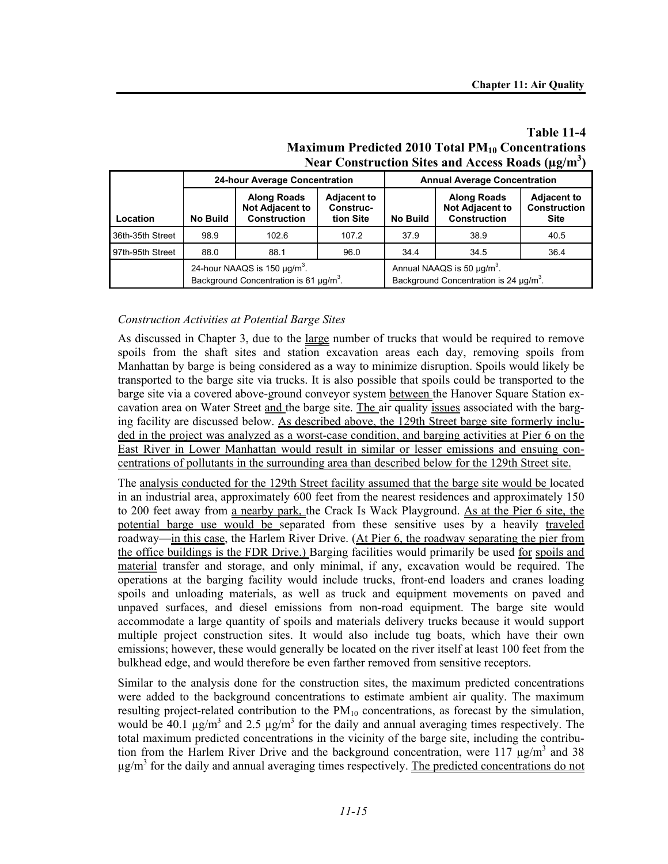|                  | Near Construction Sites and Access Roads (µg/m <sup>3</sup> )                                            |                                                                     |                                              |                                                                                              |                                                                     |                                                          |  |  |  |
|------------------|----------------------------------------------------------------------------------------------------------|---------------------------------------------------------------------|----------------------------------------------|----------------------------------------------------------------------------------------------|---------------------------------------------------------------------|----------------------------------------------------------|--|--|--|
|                  |                                                                                                          | 24-hour Average Concentration                                       |                                              | <b>Annual Average Concentration</b>                                                          |                                                                     |                                                          |  |  |  |
| Location         | No Build                                                                                                 | <b>Along Roads</b><br><b>Not Adjacent to</b><br><b>Construction</b> | <b>Adjacent to</b><br>Construc-<br>tion Site | No Build                                                                                     | <b>Along Roads</b><br><b>Not Adjacent to</b><br><b>Construction</b> | <b>Adjacent to</b><br><b>Construction</b><br><b>Site</b> |  |  |  |
| 36th-35th Street | 98.9                                                                                                     | 102.6                                                               | 107.2                                        | 37.9                                                                                         | 38.9                                                                | 40.5                                                     |  |  |  |
| 97th-95th Street | 88.0                                                                                                     | 88.1                                                                | 96.0                                         | 34.4                                                                                         | 34.5                                                                | 36.4                                                     |  |  |  |
|                  | 24-hour NAAQS is 150 $\mu$ g/m <sup>3</sup> .<br>Background Concentration is 61 $\mu$ g/m <sup>3</sup> . |                                                                     |                                              | Annual NAAQS is 50 µg/m <sup>3</sup> .<br>Background Concentration is 24 µg/m <sup>3</sup> . |                                                                     |                                                          |  |  |  |

# **Table 11-4 Maximum Predicted 2010 Total PM10 Concentrations**

# *Construction Activities at Potential Barge Sites*

As discussed in Chapter 3, due to the large number of trucks that would be required to remove spoils from the shaft sites and station excavation areas each day, removing spoils from Manhattan by barge is being considered as a way to minimize disruption. Spoils would likely be transported to the barge site via trucks. It is also possible that spoils could be transported to the barge site via a covered above-ground conveyor system between the Hanover Square Station excavation area on Water Street and the barge site. The air quality issues associated with the barging facility are discussed below. As described above, the 129th Street barge site formerly included in the project was analyzed as a worst-case condition, and barging activities at Pier 6 on the East River in Lower Manhattan would result in similar or lesser emissions and ensuing concentrations of pollutants in the surrounding area than described below for the 129th Street site.

The analysis conducted for the 129th Street facility assumed that the barge site would be located in an industrial area, approximately 600 feet from the nearest residences and approximately 150 to 200 feet away from a nearby park, the Crack Is Wack Playground. As at the Pier 6 site, the potential barge use would be separated from these sensitive uses by a heavily traveled roadway—in this case, the Harlem River Drive. (At Pier 6, the roadway separating the pier from the office buildings is the FDR Drive.) Barging facilities would primarily be used for spoils and material transfer and storage, and only minimal, if any, excavation would be required. The operations at the barging facility would include trucks, front-end loaders and cranes loading spoils and unloading materials, as well as truck and equipment movements on paved and unpaved surfaces, and diesel emissions from non-road equipment. The barge site would accommodate a large quantity of spoils and materials delivery trucks because it would support multiple project construction sites. It would also include tug boats, which have their own emissions; however, these would generally be located on the river itself at least 100 feet from the bulkhead edge, and would therefore be even farther removed from sensitive receptors.

Similar to the analysis done for the construction sites, the maximum predicted concentrations were added to the background concentrations to estimate ambient air quality. The maximum resulting project-related contribution to the  $PM_{10}$  concentrations, as forecast by the simulation, would be 40.1  $\mu$ g/m<sup>3</sup> and 2.5  $\mu$ g/m<sup>3</sup> for the daily and annual averaging times respectively. The total maximum predicted concentrations in the vicinity of the barge site, including the contribution from the Harlem River Drive and the background concentration, were  $117 \mu g/m<sup>3</sup>$  and 38 µg/m<sup>3</sup> for the daily and annual averaging times respectively. The predicted concentrations do not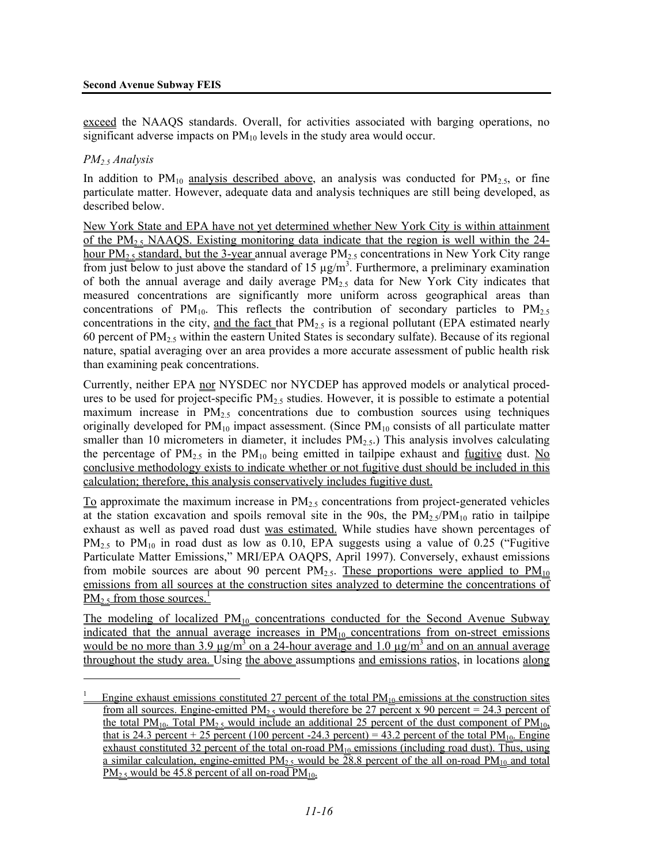exceed the NAAQS standards. Overall, for activities associated with barging operations, no significant adverse impacts on  $PM_{10}$  levels in the study area would occur.

#### *PM2.5 Analysis*

<u>.</u>

In addition to  $PM_{10}$  analysis described above, an analysis was conducted for  $PM_{2.5}$ , or fine particulate matter. However, adequate data and analysis techniques are still being developed, as described below.

New York State and EPA have not yet determined whether New York City is within attainment of the  $PM_{2.5}$  NAAQS. Existing monitoring data indicate that the region is well within the 24hour PM<sub>2.5</sub> standard, but the 3-year annual average PM<sub>2.5</sub> concentrations in New York City range from just below to just above the standard of 15  $\mu$ g/m<sup>3</sup>. Furthermore, a preliminary examination of both the annual average and daily average  $PM_{2.5}$  data for New York City indicates that measured concentrations are significantly more uniform across geographical areas than concentrations of  $PM_{10}$ . This reflects the contribution of secondary particles to  $PM_{2.5}$ concentrations in the city, and the fact that  $PM_{2.5}$  is a regional pollutant (EPA estimated nearly 60 percent of  $PM_{2.5}$  within the eastern United States is secondary sulfate). Because of its regional nature, spatial averaging over an area provides a more accurate assessment of public health risk than examining peak concentrations.

Currently, neither EPA nor NYSDEC nor NYCDEP has approved models or analytical procedures to be used for project-specific  $PM_{2.5}$  studies. However, it is possible to estimate a potential maximum increase in  $PM<sub>2.5</sub>$  concentrations due to combustion sources using techniques originally developed for  $PM_{10}$  impact assessment. (Since  $PM_{10}$  consists of all particulate matter smaller than 10 micrometers in diameter, it includes  $PM<sub>2.5</sub>$ .) This analysis involves calculating the percentage of  $PM_{2.5}$  in the  $PM_{10}$  being emitted in tailpipe exhaust and <u>fugitive</u> dust. No conclusive methodology exists to indicate whether or not fugitive dust should be included in this calculation; therefore, this analysis conservatively includes fugitive dust.

 $\underline{To}$  approximate the maximum increase in  $PM_{2.5}$  concentrations from project-generated vehicles at the station excavation and spoils removal site in the 90s, the  $PM_{2.5}/PM_{10}$  ratio in tailpipe exhaust as well as paved road dust was estimated. While studies have shown percentages of  $PM_{2.5}$  to  $PM_{10}$  in road dust as low as 0.10, EPA suggests using a value of 0.25 ("Fugitive Particulate Matter Emissions," MRI/EPA OAQPS, April 1997). Conversely, exhaust emissions from mobile sources are about 90 percent  $PM_{2.5}$ . These proportions were applied to  $PM_{10}$ emissions from all sources at the construction sites analyzed to determine the concentrations of  $PM_{2.5}$  from those sources.<sup>1</sup>

The modeling of localized  $PM_{10}$  concentrations conducted for the Second Avenue Subway indicated that the annual average increases in  $PM_{10}$  concentrations from on-street emissions would be no more than 3.9  $\mu$ g/m<sup>3</sup> on a 24-hour average and 1.0  $\mu$ g/m<sup>3</sup> and on an annual average throughout the study area. Using the above assumptions and emissions ratios, in locations along

<sup>1</sup> Engine exhaust emissions constituted 27 percent of the total  $PM_{10}$  emissions at the construction sites from all sources. Engine-emitted  $PM_{2.5}$  would therefore be 27 percent x 90 percent = 24.3 percent of the total PM<sub>10</sub>. Total PM<sub>2.5</sub> would include an additional 25 percent of the dust component of PM<sub>10</sub>, that is 24.3 percent + 25 percent (100 percent -24.3 percent) = 43.2 percent of the total PM<sub>10</sub>. Engine exhaust constituted 32 percent of the total on-road  $PM_{10}$  emissions (including road dust). Thus, using <u>a similar calculation, engine-emitted PM<sub>2.5</sub> would be 28.8 percent of the all on-road PM<sub>10</sub> and total</u>  $PM_{2.5}$  would be 45.8 percent of all on-road PM<sub>10</sub>.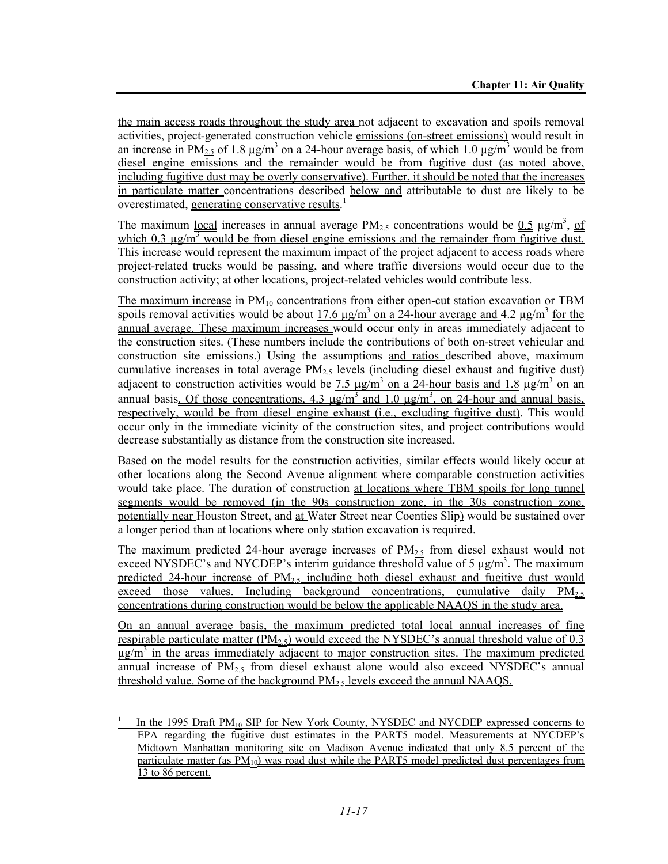the main access roads throughout the study area not adjacent to excavation and spoils removal activities, project-generated construction vehicle emissions (on-street emissions) would result in an increase in PM<sub>2.5</sub> of 1.8  $\mu$ g/m<sup>3</sup> on a 24-hour average basis, of which 1.0  $\mu$ g/m<sup>3</sup> would be from diesel engine emissions and the remainder would be from fugitive dust (as noted above, including fugitive dust may be overly conservative). Further, it should be noted that the increases in particulate matter concentrations described below and attributable to dust are likely to be overestimated, generating conservative results.<sup>1</sup>

The maximum local increases in annual average  $PM_{2.5}$  concentrations would be  $0.5 \mu g/m^3$ , of which 0.3  $\mu$ g/m<sup>3</sup> would be from diesel engine emissions and the remainder from fugitive dust. This increase would represent the maximum impact of the project adjacent to access roads where project-related trucks would be passing, and where traffic diversions would occur due to the construction activity; at other locations, project-related vehicles would contribute less.

The maximum increase in  $PM_{10}$  concentrations from either open-cut station excavation or TBM spoils removal activities would be about  $17.6 \mu g/m^3$  on a 24-hour average and 4.2  $\mu g/m^3$  for the annual average. These maximum increases would occur only in areas immediately adjacent to the construction sites. (These numbers include the contributions of both on-street vehicular and construction site emissions.) Using the assumptions and ratios described above, maximum cumulative increases in total average PM<sub>2.5</sub> levels (including diesel exhaust and fugitive dust) adjacent to construction activities would be  $7.5 \mu g/m^3$  on a 24-hour basis and 1.8  $\mu g/m^3$  on an annual basis. Of those concentrations,  $4.3 \mu g/m^3$  and  $1.0 \mu g/m^3$ , on 24-hour and annual basis, respectively, would be from diesel engine exhaust (i.e., excluding fugitive dust). This would occur only in the immediate vicinity of the construction sites, and project contributions would decrease substantially as distance from the construction site increased.

Based on the model results for the construction activities, similar effects would likely occur at other locations along the Second Avenue alignment where comparable construction activities would take place. The duration of construction at locations where TBM spoils for long tunnel segments would be removed (in the 90s construction zone, in the 30s construction zone, potentially near Houston Street, and at Water Street near Coenties Slip) would be sustained over a longer period than at locations where only station excavation is required.

The maximum predicted 24-hour average increases of  $PM_2$ , from diesel exhaust would not exceed NYSDEC's and NYCDEP's interim guidance threshold value of 5  $\mu$ g/m<sup>3</sup>. The maximum predicted 24-hour increase of  $PM_{2.5}$  including both diesel exhaust and fugitive dust would exceed those values. Including background concentrations, cumulative daily  $PM_{2.5}$ concentrations during construction would be below the applicable NAAQS in the study area.

On an annual average basis, the maximum predicted total local annual increases of fine respirable particulate matter ( $PM<sub>2.5</sub>$ ) would exceed the NYSDEC's annual threshold value of 0.3  $\mu$ g/m<sup>3</sup> in the areas immediately adjacent to major construction sites. The maximum predicted annual increase of  $PM_2$ <sub>5</sub> from diesel exhaust alone would also exceed NYSDEC's annual threshold value. Some of the background  $PM<sub>2.5</sub>$  levels exceed the annual NAAQS.

1

<sup>&</sup>lt;sup>1</sup> In the 1995 Draft PM<sub>10</sub> SIP for New York County, NYSDEC and NYCDEP expressed concerns to EPA regarding the fugitive dust estimates in the PART5 model. Measurements at NYCDEP's Midtown Manhattan monitoring site on Madison Avenue indicated that only 8.5 percent of the particulate matter (as PM<sub>10</sub>) was road dust while the PART5 model predicted dust percentages from 13 to 86 percent.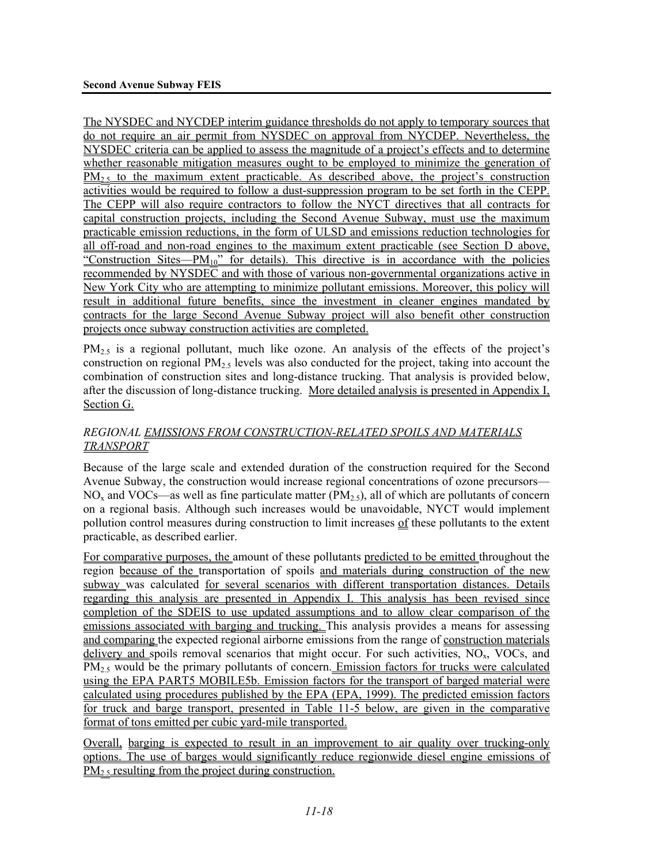The NYSDEC and NYCDEP interim guidance thresholds do not apply to temporary sources that do not require an air permit from NYSDEC on approval from NYCDEP. Nevertheless, the NYSDEC criteria can be applied to assess the magnitude of a project's effects and to determine whether reasonable mitigation measures ought to be employed to minimize the generation of  $PM_2$ , to the maximum extent practicable. As described above, the project's construction activities would be required to follow a dust-suppression program to be set forth in the CEPP. The CEPP will also require contractors to follow the NYCT directives that all contracts for capital construction projects, including the Second Avenue Subway, must use the maximum practicable emission reductions, in the form of ULSD and emissions reduction technologies for all off-road and non-road engines to the maximum extent practicable (see Section D above, "Construction Sites—PM<sub>10</sub>" for details). This directive is in accordance with the policies recommended by NYSDEC and with those of various non-governmental organizations active in New York City who are attempting to minimize pollutant emissions. Moreover, this policy will result in additional future benefits, since the investment in cleaner engines mandated by contracts for the large Second Avenue Subway project will also benefit other construction projects once subway construction activities are completed.

 $PM_{2.5}$  is a regional pollutant, much like ozone. An analysis of the effects of the project's construction on regional  $PM_{2.5}$  levels was also conducted for the project, taking into account the combination of construction sites and long-distance trucking. That analysis is provided below, after the discussion of long-distance trucking. More detailed analysis is presented in Appendix I, Section G.

#### *REGIONAL EMISSIONS FROM CONSTRUCTION-RELATED SPOILS AND MATERIALS TRANSPORT*

Because of the large scale and extended duration of the construction required for the Second Avenue Subway, the construction would increase regional concentrations of ozone precursors—  $NO<sub>x</sub>$  and VOCs—as well as fine particulate matter ( $PM<sub>2.5</sub>$ ), all of which are pollutants of concern on a regional basis. Although such increases would be unavoidable, NYCT would implement pollution control measures during construction to limit increases of these pollutants to the extent practicable, as described earlier.

For comparative purposes, the amount of these pollutants predicted to be emitted throughout the region because of the transportation of spoils and materials during construction of the new subway was calculated for several scenarios with different transportation distances. Details regarding this analysis are presented in Appendix I. This analysis has been revised since completion of the SDEIS to use updated assumptions and to allow clear comparison of the emissions associated with barging and trucking. This analysis provides a means for assessing and comparing the expected regional airborne emissions from the range of construction materials delivery and spoils removal scenarios that might occur. For such activities, NO<sub>x</sub>, VOCs, and  $PM<sub>2.5</sub>$  would be the primary pollutants of concern. Emission factors for trucks were calculated using the EPA PART5 MOBILE5b. Emission factors for the transport of barged material were calculated using procedures published by the EPA (EPA, 1999). The predicted emission factors for truck and barge transport, presented in Table 11-5 below, are given in the comparative format of tons emitted per cubic yard-mile transported.

Overall, barging is expected to result in an improvement to air quality over trucking-only options. The use of barges would significantly reduce regionwide diesel engine emissions of  $PM<sub>2.5</sub>$  resulting from the project during construction.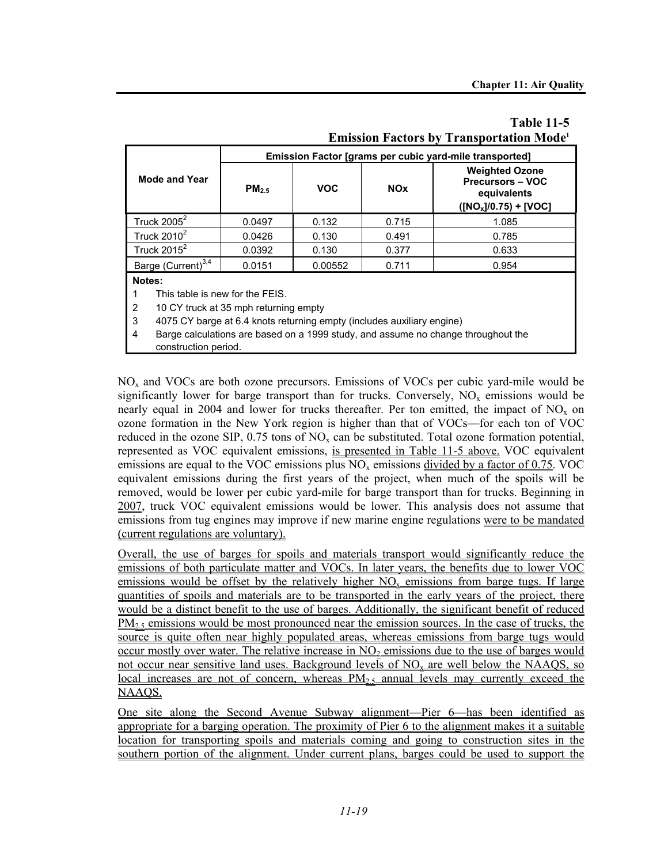|                                | <b>Emission Factors by Transportation Mode</b>                                                                                                                                      |            |                       |                                                                                             |  |  |  |  |  |
|--------------------------------|-------------------------------------------------------------------------------------------------------------------------------------------------------------------------------------|------------|-----------------------|---------------------------------------------------------------------------------------------|--|--|--|--|--|
|                                | Emission Factor [grams per cubic yard-mile transported]                                                                                                                             |            |                       |                                                                                             |  |  |  |  |  |
| <b>Mode and Year</b>           | PM <sub>2.5</sub>                                                                                                                                                                   | <b>VOC</b> | <b>NO<sub>x</sub></b> | <b>Weighted Ozone</b><br><b>Precursors - VOC</b><br>equivalents<br>$( [NO_x]/0.75) + [VOC]$ |  |  |  |  |  |
| Truck $2005^2$                 | 0.0497                                                                                                                                                                              | 0.132      | 0.715                 | 1.085                                                                                       |  |  |  |  |  |
| Truck $2010^2$                 | 0.0426                                                                                                                                                                              | 0.130      | 0.491                 | 0.785                                                                                       |  |  |  |  |  |
| Truck $2015^2$                 | 0.0392                                                                                                                                                                              | 0.130      | 0.377                 | 0.633                                                                                       |  |  |  |  |  |
| Barge (Current) <sup>3,4</sup> | 0.0151                                                                                                                                                                              | 0.00552    | 0.711                 | 0.954                                                                                       |  |  |  |  |  |
| Notes:                         |                                                                                                                                                                                     |            |                       |                                                                                             |  |  |  |  |  |
|                                | This table is new for the FEIS.                                                                                                                                                     |            |                       |                                                                                             |  |  |  |  |  |
| 2                              | 10 CY truck at 35 mph returning empty                                                                                                                                               |            |                       |                                                                                             |  |  |  |  |  |
| 3                              |                                                                                                                                                                                     |            |                       |                                                                                             |  |  |  |  |  |
| 4                              | 4075 CY barge at 6.4 knots returning empty (includes auxiliary engine)<br>Barge calculations are based on a 1999 study, and assume no change throughout the<br>construction period. |            |                       |                                                                                             |  |  |  |  |  |

# **Table 11-5 Emission Factors by Transportation Mode1**

 $NO<sub>x</sub>$  and VOCs are both ozone precursors. Emissions of VOCs per cubic yard-mile would be significantly lower for barge transport than for trucks. Conversely,  $NO<sub>x</sub>$  emissions would be nearly equal in 2004 and lower for trucks thereafter. Per ton emitted, the impact of  $NO<sub>x</sub>$  on ozone formation in the New York region is higher than that of VOCs—for each ton of VOC reduced in the ozone SIP,  $0.75$  tons of NO<sub>x</sub> can be substituted. Total ozone formation potential, represented as VOC equivalent emissions, is presented in Table 11-5 above. VOC equivalent emissions are equal to the VOC emissions plus  $NO<sub>x</sub>$  emissions divided by a factor of 0.75. VOC equivalent emissions during the first years of the project, when much of the spoils will be removed, would be lower per cubic yard-mile for barge transport than for trucks. Beginning in 2007, truck VOC equivalent emissions would be lower. This analysis does not assume that emissions from tug engines may improve if new marine engine regulations were to be mandated (current regulations are voluntary).

Overall, the use of barges for spoils and materials transport would significantly reduce the emissions of both particulate matter and VOCs. In later years, the benefits due to lower VOC emissions would be offset by the relatively higher  $NO<sub>x</sub>$  emissions from barge tugs. If large quantities of spoils and materials are to be transported in the early years of the project, there would be a distinct benefit to the use of barges. Additionally, the significant benefit of reduced  $PM_{2.5}$  emissions would be most pronounced near the emission sources. In the case of trucks, the source is quite often near highly populated areas, whereas emissions from barge tugs would occur mostly over water. The relative increase in  $NO<sub>2</sub>$  emissions due to the use of barges would not occur near sensitive land uses. Background levels of NO<sub>x</sub> are well below the NAAQS, so local increases are not of concern, whereas  $PM_2$ , annual levels may currently exceed the NAAQS.

One site along the Second Avenue Subway alignment—Pier 6—has been identified as appropriate for a barging operation. The proximity of Pier 6 to the alignment makes it a suitable location for transporting spoils and materials coming and going to construction sites in the southern portion of the alignment. Under current plans, barges could be used to support the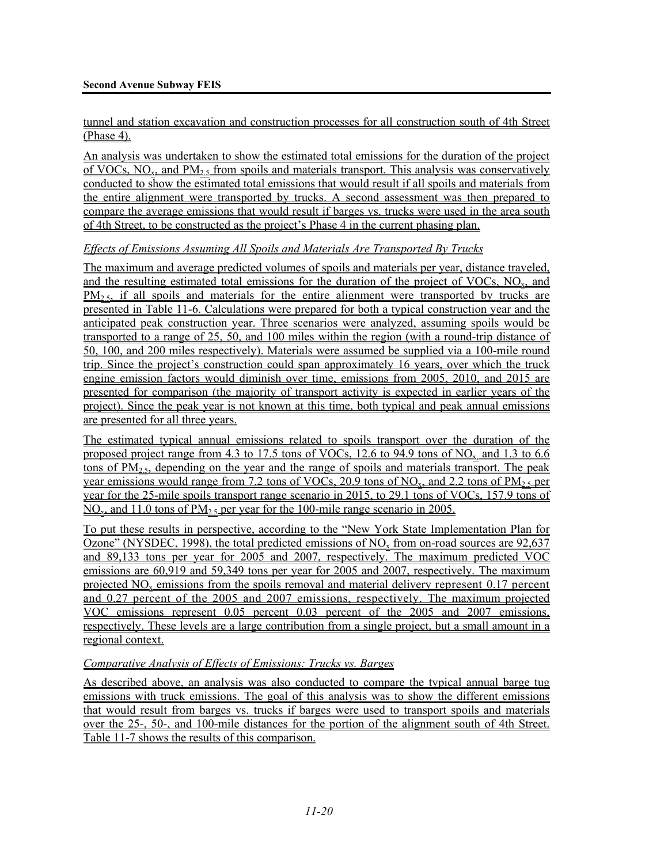#### tunnel and station excavation and construction processes for all construction south of 4th Street (Phase 4).

An analysis was undertaken to show the estimated total emissions for the duration of the project of VOCs,  $NO<sub>x</sub>$ , and  $PM<sub>2.5</sub>$  from spoils and materials transport. This analysis was conservatively conducted to show the estimated total emissions that would result if all spoils and materials from the entire alignment were transported by trucks. A second assessment was then prepared to compare the average emissions that would result if barges vs. trucks were used in the area south of 4th Street, to be constructed as the project's Phase 4 in the current phasing plan.

#### *Effects of Emissions Assuming All Spoils and Materials Are Transported By Trucks*

The maximum and average predicted volumes of spoils and materials per year, distance traveled, and the resulting estimated total emissions for the duration of the project of VOCs,  $NO<sub>x</sub>$ , and  $PM<sub>2.5</sub>$  if all spoils and materials for the entire alignment were transported by trucks are presented in Table 11-6. Calculations were prepared for both a typical construction year and the anticipated peak construction year. Three scenarios were analyzed, assuming spoils would be transported to a range of 25, 50, and 100 miles within the region (with a round-trip distance of 50, 100, and 200 miles respectively). Materials were assumed be supplied via a 100-mile round trip. Since the project's construction could span approximately 16 years, over which the truck engine emission factors would diminish over time, emissions from 2005, 2010, and 2015 are presented for comparison (the majority of transport activity is expected in earlier years of the project). Since the peak year is not known at this time, both typical and peak annual emissions are presented for all three years.

The estimated typical annual emissions related to spoils transport over the duration of the proposed project range from 4.3 to 17.5 tons of VOCs, 12.6 to 94.9 tons of  $NO<sub>x</sub>$  and 1.3 to 6.6 tons of  $PM_{2.5}$ , depending on the year and the range of spoils and materials transport. The peak year emissions would range from 7.2 tons of VOCs, 20.9 tons of NO<sub>x</sub>, and 2.2 tons of PM<sub>2</sub>, per year for the 25-mile spoils transport range scenario in 2015, to 29.1 tons of VOCs, 157.9 tons of  $NO<sub>x</sub>$ , and 11.0 tons of PM<sub>2.5</sub> per year for the 100-mile range scenario in 2005.

To put these results in perspective, according to the "New York State Implementation Plan for Ozone" (NYSDEC, 1998), the total predicted emissions of  $NO<sub>x</sub>$  from on-road sources are 92,637 and 89,133 tons per year for 2005 and 2007, respectively. The maximum predicted VOC emissions are 60,919 and 59,349 tons per year for 2005 and 2007, respectively. The maximum projected  $NO<sub>x</sub>$  emissions from the spoils removal and material delivery represent 0.17 percent and 0.27 percent of the 2005 and 2007 emissions, respectively. The maximum projected VOC emissions represent 0.05 percent 0.03 percent of the 2005 and 2007 emissions, respectively. These levels are a large contribution from a single project, but a small amount in a regional context.

#### *Comparative Analysis of Effects of Emissions: Trucks vs. Barges*

As described above, an analysis was also conducted to compare the typical annual barge tug emissions with truck emissions. The goal of this analysis was to show the different emissions that would result from barges vs. trucks if barges were used to transport spoils and materials over the 25-, 50-, and 100-mile distances for the portion of the alignment south of 4th Street. Table 11-7 shows the results of this comparison.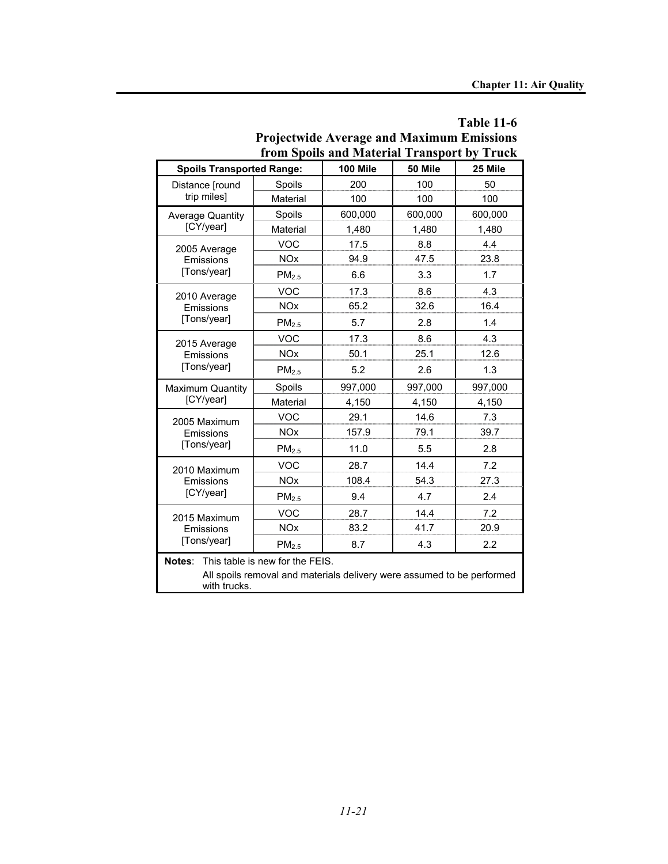| from Spoils and Material Transport by Truck                                                                                         |                       |                 |         |         |  |  |  |
|-------------------------------------------------------------------------------------------------------------------------------------|-----------------------|-----------------|---------|---------|--|--|--|
| <b>Spoils Transported Range:</b>                                                                                                    |                       | <b>100 Mile</b> | 50 Mile | 25 Mile |  |  |  |
| Distance [round                                                                                                                     | Spoils                | 200             | 100     | 50      |  |  |  |
| trip miles]                                                                                                                         | Material              | 100             | 100     | 100     |  |  |  |
| <b>Average Quantity</b>                                                                                                             | Spoils                | 600,000         | 600,000 | 600,000 |  |  |  |
| [CY/year]                                                                                                                           | Material              | 1,480           | 1,480   | 1,480   |  |  |  |
| 2005 Average                                                                                                                        | <b>VOC</b>            | 17.5            | 8.8     | 4.4     |  |  |  |
| Emissions                                                                                                                           | <b>NO<sub>x</sub></b> | 94.9            | 47.5    | 23.8    |  |  |  |
| [Tons/year]                                                                                                                         | PM <sub>2.5</sub>     | 6.6             | 3.3     | 1.7     |  |  |  |
| 2010 Average                                                                                                                        | <b>VOC</b>            | 17.3            | 8.6     | 4.3     |  |  |  |
| Emissions                                                                                                                           | <b>NO<sub>x</sub></b> | 65.2            | 32.6    | 16.4    |  |  |  |
| [Tons/year]                                                                                                                         | PM <sub>2.5</sub>     | 5.7             | 2.8     | 1.4     |  |  |  |
| 2015 Average<br>Emissions                                                                                                           | <b>VOC</b>            | 17.3            | 8.6     | 4.3     |  |  |  |
|                                                                                                                                     | <b>NO<sub>x</sub></b> | 50.1            | 25.1    | 12.6    |  |  |  |
| [Tons/year]                                                                                                                         | PM <sub>2.5</sub>     | 5.2             | 2.6     | 1.3     |  |  |  |
| <b>Maximum Quantity</b>                                                                                                             | Spoils                | 997,000         | 997,000 | 997,000 |  |  |  |
| [CY/year]                                                                                                                           | Material              | 4,150           | 4,150   | 4,150   |  |  |  |
| 2005 Maximum                                                                                                                        | <b>VOC</b>            | 29.1            | 14.6    | 7.3     |  |  |  |
| Emissions                                                                                                                           | <b>NO<sub>x</sub></b> | 157.9           | 79.1    | 39.7    |  |  |  |
| [Tons/year]                                                                                                                         | PM <sub>2.5</sub>     | 11.0            | 5.5     | 2.8     |  |  |  |
| 2010 Maximum                                                                                                                        | <b>VOC</b>            | 28.7            | 14.4    | 7.2     |  |  |  |
| Emissions                                                                                                                           | <b>NOx</b>            | 108.4           | 54.3    | 27.3    |  |  |  |
| [CY/year]                                                                                                                           | PM <sub>2.5</sub>     | 9.4             | 4.7     | 2.4     |  |  |  |
| 2015 Maximum                                                                                                                        | <b>VOC</b>            | 28.7            | 14.4    | 7.2     |  |  |  |
| Emissions                                                                                                                           | <b>NOx</b>            | 83.2            | 41.7    | 20.9    |  |  |  |
| [Tons/year]                                                                                                                         | PM <sub>2.5</sub>     | 8.7             | 4.3     | 2.2     |  |  |  |
| This table is new for the FEIS.<br>Notes:<br>All spoils removal and materials delivery were assumed to be performed<br>with trucks. |                       |                 |         |         |  |  |  |

|                                                  | <b>Table 11-6</b> |
|--------------------------------------------------|-------------------|
| <b>Projectwide Average and Maximum Emissions</b> |                   |
| from Spoils and Material Transport by Truck      |                   |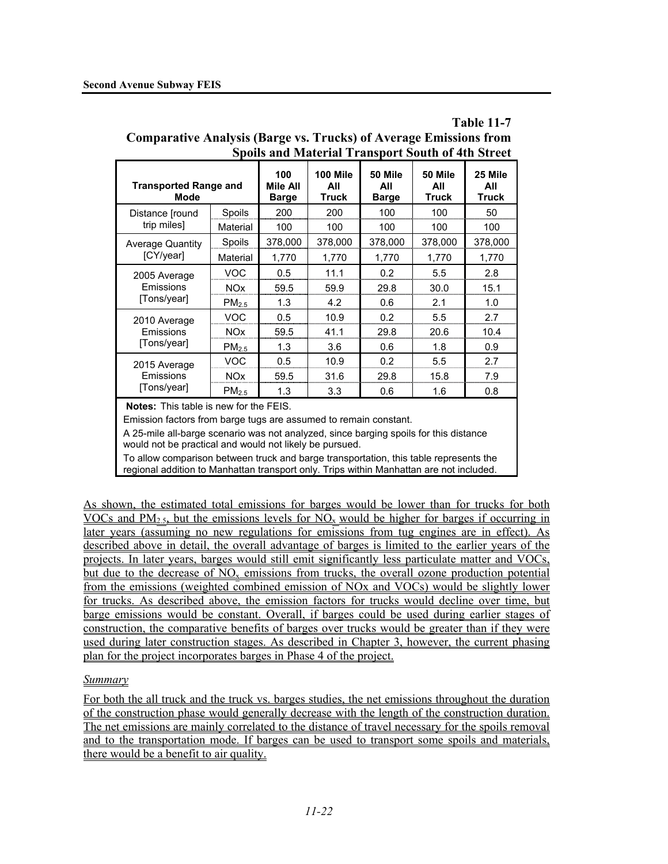| <b>Table 11-7</b>                                                        |
|--------------------------------------------------------------------------|
| <b>Comparative Analysis (Barge vs. Trucks) of Average Emissions from</b> |
| <b>Spoils and Material Transport South of 4th Street</b>                 |

| <b>Transported Range and</b><br>Mode          |                       | 100<br>Mile All<br><b>Barge</b> | 100 Mile<br>All<br>Truck | 50 Mile<br>All<br><b>Barge</b> | 50 Mile<br>All<br><b>Truck</b> | 25 Mile<br>All<br><b>Truck</b> |
|-----------------------------------------------|-----------------------|---------------------------------|--------------------------|--------------------------------|--------------------------------|--------------------------------|
| Distance [round                               | Spoils                | 200                             | 200                      | 100                            | 100                            | 50                             |
| trip miles]                                   | Material              | 100                             | 100                      | 100                            | 100                            | 100                            |
| <b>Average Quantity</b>                       | Spoils                | 378,000                         | 378,000                  | 378,000                        | 378,000                        | 378,000                        |
| [CY/year]                                     | Material              | 1,770                           | 1,770                    | 1,770                          | 1,770                          | 1,770                          |
| 2005 Average                                  | <b>VOC</b>            | 0.5                             | 11.1                     | 0.2                            | 5.5                            | 2.8                            |
| Emissions                                     | <b>NO<sub>x</sub></b> | 59.5                            | 59.9                     | 29.8                           | 30.0                           | 15.1                           |
| [Tons/year]                                   | PM <sub>2.5</sub>     | 1.3                             | 4.2                      | 0.6                            | 2.1                            | 1.0                            |
| 2010 Average                                  | <b>VOC</b>            | 0.5                             | 10.9                     | 0.2                            | 5.5                            | 2.7                            |
| Emissions                                     | NO <sub>x</sub>       | 59.5                            | 41.1                     | 29.8                           | 20.6                           | 10.4                           |
| [Tons/year]                                   | PM <sub>2.5</sub>     | 1.3                             | 3.6                      | 0.6                            | 1.8                            | 0.9                            |
| 2015 Average                                  | <b>VOC</b>            | 0.5                             | 10.9                     | 0.2                            | 5.5                            | 2.7                            |
| Emissions                                     | <b>NOx</b>            | 59.5                            | 31.6                     | 29.8                           | 15.8                           | 7.9                            |
| [Tons/year]                                   | PM <sub>2.5</sub>     | 1.3                             | 3.3                      | 0.6                            | 1.6                            | 0.8                            |
| <b>Notes:</b> This table is new for the FEIS. |                       |                                 |                          |                                |                                |                                |

**Notes:** This table is new for the FEIS.

Emission factors from barge tugs are assumed to remain constant.

A 25-mile all-barge scenario was not analyzed, since barging spoils for this distance would not be practical and would not likely be pursued.

To allow comparison between truck and barge transportation, this table represents the

regional addition to Manhattan transport only. Trips within Manhattan are not included.

As shown, the estimated total emissions for barges would be lower than for trucks for both VOCs and PM<sub>2.5</sub>, but the emissions levels for NO<sub>x</sub> would be higher for barges if occurring in later years (assuming no new regulations for emissions from tug engines are in effect). As described above in detail, the overall advantage of barges is limited to the earlier years of the projects. In later years, barges would still emit significantly less particulate matter and VOCs, but due to the decrease of  $NO<sub>x</sub>$  emissions from trucks, the overall ozone production potential from the emissions (weighted combined emission of NOx and VOCs) would be slightly lower for trucks. As described above, the emission factors for trucks would decline over time, but barge emissions would be constant. Overall, if barges could be used during earlier stages of construction, the comparative benefits of barges over trucks would be greater than if they were used during later construction stages. As described in Chapter 3, however, the current phasing plan for the project incorporates barges in Phase 4 of the project.

#### *Summary*

For both the all truck and the truck vs. barges studies, the net emissions throughout the duration of the construction phase would generally decrease with the length of the construction duration. The net emissions are mainly correlated to the distance of travel necessary for the spoils removal and to the transportation mode. If barges can be used to transport some spoils and materials, there would be a benefit to air quality.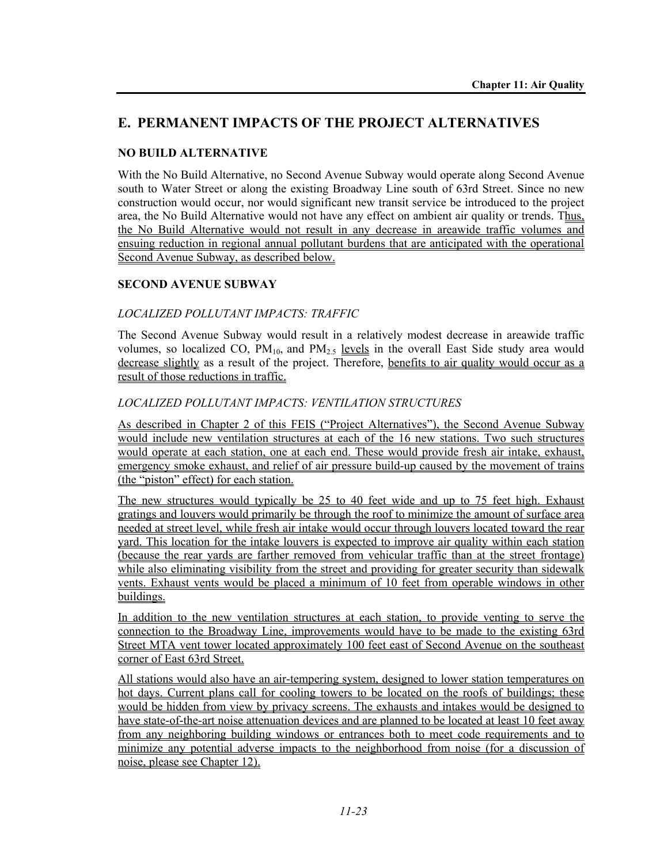# **E. PERMANENT IMPACTS OF THE PROJECT ALTERNATIVES**

### **NO BUILD ALTERNATIVE**

With the No Build Alternative, no Second Avenue Subway would operate along Second Avenue south to Water Street or along the existing Broadway Line south of 63rd Street. Since no new construction would occur, nor would significant new transit service be introduced to the project area, the No Build Alternative would not have any effect on ambient air quality or trends. Thus, the No Build Alternative would not result in any decrease in areawide traffic volumes and ensuing reduction in regional annual pollutant burdens that are anticipated with the operational Second Avenue Subway, as described below.

#### **SECOND AVENUE SUBWAY**

#### *LOCALIZED POLLUTANT IMPACTS: TRAFFIC*

The Second Avenue Subway would result in a relatively modest decrease in areawide traffic volumes, so localized CO,  $PM_{10}$ , and  $PM_{2.5}$  levels in the overall East Side study area would decrease slightly as a result of the project. Therefore, benefits to air quality would occur as a result of those reductions in traffic.

#### *LOCALIZED POLLUTANT IMPACTS: VENTILATION STRUCTURES*

As described in Chapter 2 of this FEIS ("Project Alternatives"), the Second Avenue Subway would include new ventilation structures at each of the 16 new stations. Two such structures would operate at each station, one at each end. These would provide fresh air intake, exhaust, emergency smoke exhaust, and relief of air pressure build-up caused by the movement of trains (the "piston" effect) for each station.

The new structures would typically be 25 to 40 feet wide and up to 75 feet high. Exhaust gratings and louvers would primarily be through the roof to minimize the amount of surface area needed at street level, while fresh air intake would occur through louvers located toward the rear yard. This location for the intake louvers is expected to improve air quality within each station (because the rear yards are farther removed from vehicular traffic than at the street frontage) while also eliminating visibility from the street and providing for greater security than sidewalk vents. Exhaust vents would be placed a minimum of 10 feet from operable windows in other buildings.

In addition to the new ventilation structures at each station, to provide venting to serve the connection to the Broadway Line, improvements would have to be made to the existing 63rd Street MTA vent tower located approximately 100 feet east of Second Avenue on the southeast corner of East 63rd Street.

All stations would also have an air-tempering system, designed to lower station temperatures on hot days. Current plans call for cooling towers to be located on the roofs of buildings; these would be hidden from view by privacy screens. The exhausts and intakes would be designed to have state-of-the-art noise attenuation devices and are planned to be located at least 10 feet away from any neighboring building windows or entrances both to meet code requirements and to minimize any potential adverse impacts to the neighborhood from noise (for a discussion of noise, please see Chapter 12).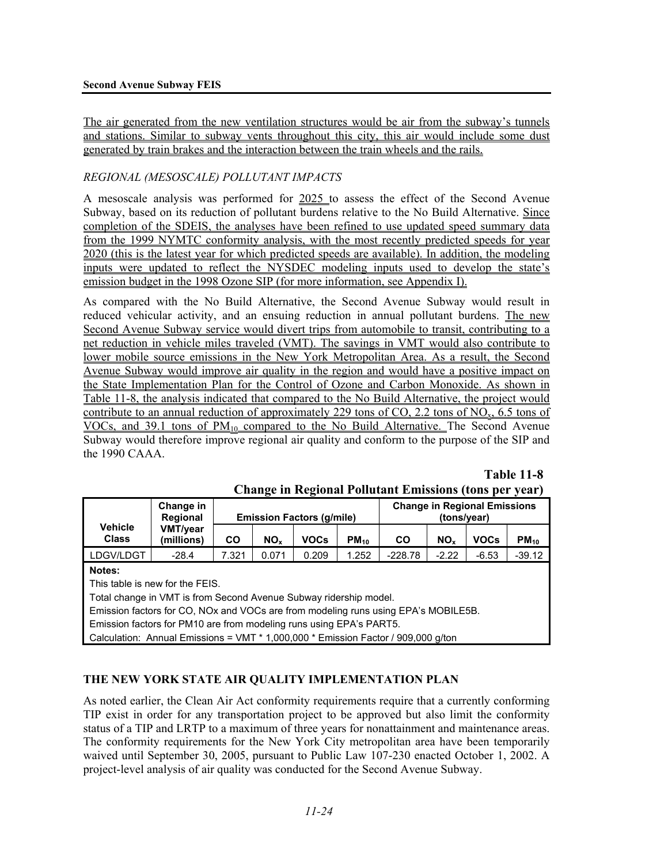The air generated from the new ventilation structures would be air from the subway's tunnels and stations. Similar to subway vents throughout this city, this air would include some dust generated by train brakes and the interaction between the train wheels and the rails.

#### *REGIONAL (MESOSCALE) POLLUTANT IMPACTS*

A mesoscale analysis was performed for 2025 to assess the effect of the Second Avenue Subway, based on its reduction of pollutant burdens relative to the No Build Alternative. Since completion of the SDEIS, the analyses have been refined to use updated speed summary data from the 1999 NYMTC conformity analysis, with the most recently predicted speeds for year 2020 (this is the latest year for which predicted speeds are available). In addition, the modeling inputs were updated to reflect the NYSDEC modeling inputs used to develop the state's emission budget in the 1998 Ozone SIP (for more information, see Appendix I).

As compared with the No Build Alternative, the Second Avenue Subway would result in reduced vehicular activity, and an ensuing reduction in annual pollutant burdens. The new Second Avenue Subway service would divert trips from automobile to transit, contributing to a net reduction in vehicle miles traveled (VMT). The savings in VMT would also contribute to lower mobile source emissions in the New York Metropolitan Area. As a result, the Second Avenue Subway would improve air quality in the region and would have a positive impact on the State Implementation Plan for the Control of Ozone and Carbon Monoxide. As shown in Table 11-8, the analysis indicated that compared to the No Build Alternative, the project would contribute to an annual reduction of approximately 229 tons of  $CO$ , 2.2 tons of  $NO<sub>x</sub>$ , 6.5 tons of VOCs, and 39.1 tons of  $PM_{10}$  compared to the No Build Alternative. The Second Avenue Subway would therefore improve regional air quality and conform to the purpose of the SIP and the 1990 CAAA.

#### **Table 11-8**

|                                                                                    | Change in<br><b>Regional</b><br><b>Emission Factors (g/mile)</b> |           |          |             |           | (tons/year) | <b>Change in Regional Emissions</b> |             |           |
|------------------------------------------------------------------------------------|------------------------------------------------------------------|-----------|----------|-------------|-----------|-------------|-------------------------------------|-------------|-----------|
| <b>Vehicle</b><br><b>Class</b>                                                     | <b>VMT/year</b><br>(millions)                                    | <b>CO</b> | $NO_{x}$ | <b>VOCs</b> | $PM_{10}$ | <b>CO</b>   | $NO_{x}$                            | <b>VOCs</b> | $PM_{10}$ |
| LDGV/LDGT                                                                          | $-28.4$                                                          | 7.321     | 0.071    | 0.209       | 1.252     | $-228.78$   | $-2.22$                             | $-6.53$     | $-39.12$  |
| Notes:                                                                             |                                                                  |           |          |             |           |             |                                     |             |           |
| This table is new for the FEIS.                                                    |                                                                  |           |          |             |           |             |                                     |             |           |
| Total change in VMT is from Second Avenue Subway ridership model.                  |                                                                  |           |          |             |           |             |                                     |             |           |
| Emission factors for CO, NOx and VOCs are from modeling runs using EPA's MOBILE5B. |                                                                  |           |          |             |           |             |                                     |             |           |
| Emission factors for PM10 are from modeling runs using EPA's PART5.                |                                                                  |           |          |             |           |             |                                     |             |           |
| Calculation: Annual Emissions = VMT * 1,000,000 * Emission Factor / 909,000 g/ton  |                                                                  |           |          |             |           |             |                                     |             |           |

# **Change in Regional Pollutant Emissions (tons per year)**

#### **THE NEW YORK STATE AIR QUALITY IMPLEMENTATION PLAN**

As noted earlier, the Clean Air Act conformity requirements require that a currently conforming TIP exist in order for any transportation project to be approved but also limit the conformity status of a TIP and LRTP to a maximum of three years for nonattainment and maintenance areas. The conformity requirements for the New York City metropolitan area have been temporarily waived until September 30, 2005, pursuant to Public Law 107-230 enacted October 1, 2002. A project-level analysis of air quality was conducted for the Second Avenue Subway.